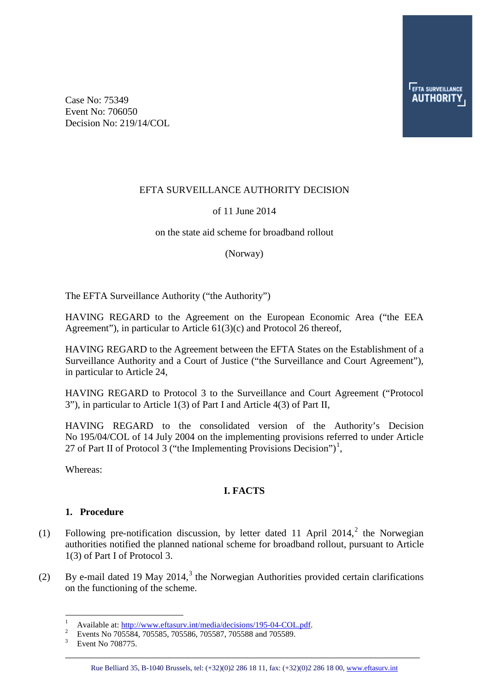Case No: 75349 Event No: 706050 Decision No: 219/14/COL

### EFTA SURVEILLANCE AUTHORITY DECISION

### of 11 June 2014

#### on the state aid scheme for broadband rollout

(Norway)

The EFTA Surveillance Authority ("the Authority")

HAVING REGARD to the Agreement on the European Economic Area ("the EEA Agreement"), in particular to Article 61(3)(c) and Protocol 26 thereof,

HAVING REGARD to the Agreement between the EFTA States on the Establishment of a Surveillance Authority and a Court of Justice ("the Surveillance and Court Agreement"), in particular to Article 24,

HAVING REGARD to Protocol 3 to the Surveillance and Court Agreement ("Protocol 3"), in particular to Article 1(3) of Part I and Article 4(3) of Part II,

HAVING REGARD to the consolidated version of the Authority's Decision No 195/04/COL of 14 July 2004 on the implementing provisions referred to under Article 27 of Part II of Protocol 3 ("the Implementing Provisions Decision")<sup>[1](#page-0-0)</sup>,

<span id="page-0-3"></span>Whereas:

### **I. FACTS**

#### **1. Procedure**

- (1) Following pre-notification discussion, by letter dated 11 April [2](#page-0-1)014,<sup>2</sup> the Norwegian authorities notified the planned national scheme for broadband rollout, pursuant to Article 1(3) of Part I of Protocol 3.
- <span id="page-0-0"></span>(2) By e-mail dated 19 May 2014,<sup>[3](#page-0-2)</sup> the Norwegian Authorities provided certain clarifications on the functioning of the scheme.

<sup>|&</sup>lt;br>|<br>| <sup>1</sup> Available at:  $\frac{http://www.effasurv.int/media/decisions/195-04-COL.pdf.$ <sup>2</sup> Events No 705584, 705585, 705586, 705587, 705588 and 705589.<br><sup>3</sup> Event No 708775.

<span id="page-0-2"></span><span id="page-0-1"></span>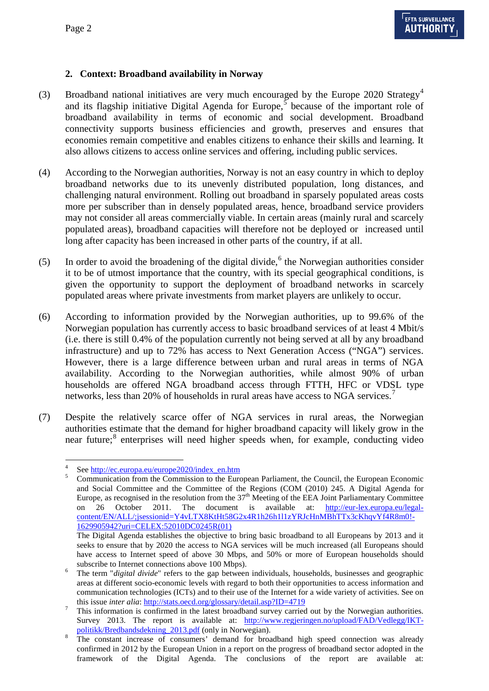# **2. Context: Broadband availability in Norway**

- (3) Broadband national initiatives are very much encouraged by the Europe 2020 Strategy<sup>[4](#page-0-3)</sup> and its flagship initiative Digital Agenda for Europe,  $\overline{5}$  $\overline{5}$  $\overline{5}$  because of the important role of broadband availability in terms of economic and social development. Broadband connectivity supports business efficiencies and growth, preserves and ensures that economies remain competitive and enables citizens to enhance their skills and learning. It also allows citizens to access online services and offering, including public services.
- (4) According to the Norwegian authorities, Norway is not an easy country in which to deploy broadband networks due to its unevenly distributed population, long distances, and challenging natural environment. Rolling out broadband in sparsely populated areas costs more per subscriber than in densely populated areas, hence, broadband service providers may not consider all areas commercially viable. In certain areas (mainly rural and scarcely populated areas), broadband capacities will therefore not be deployed or increased until long after capacity has been increased in other parts of the country, if at all.
- (5) In order to avoid the broadening of the digital divide,  $6$  the Norwegian authorities consider it to be of utmost importance that the country, with its special geographical conditions, is given the opportunity to support the deployment of broadband networks in scarcely populated areas where private investments from market players are unlikely to occur.
- (6) According to information provided by the Norwegian authorities, up to 99.6% of the Norwegian population has currently access to basic broadband services of at least 4 Mbit/s (i.e. there is still 0.4% of the population currently not being served at all by any broadband infrastructure) and up to 72% has access to Next Generation Access ("NGA") services. However, there is a large difference between urban and rural areas in terms of NGA availability. According to the Norwegian authorities, while almost 90% of urban households are offered NGA broadband access through FTTH, HFC or VDSL type networks, less than 20% of households in rural areas have access to NGA services.<sup>[7](#page-1-2)</sup>
- (7) Despite the relatively scarce offer of NGA services in rural areas, the Norwegian authorities estimate that the demand for higher broadband capacity will likely grow in the near future; [8](#page-1-3) enterprises will need higher speeds when, for example, conducting video

<span id="page-1-0"></span><sup>&</sup>lt;sup>4</sup> See <u>http://ec.europa.eu/europe2020/index\_en.htm</u>  $\frac{5}{100}$  Communication from the Commission to the European Parliament, the Council, the European Economic and Social Committee and the Committee of the Regions (COM (2010) 245. A Digital Agenda for Europe, as recognised in the resolution from the 37<sup>th</sup> Meeting of the EEA Joint Parliamentary Committee on 26 October 2011. The document is available at: [http://eur-lex.europa.eu/legal](http://eur-lex.europa.eu/legal-content/EN/ALL/;jsessionid=Y4vLTX8KtHt58G2x4R1h26h1l1zYRJcHnMBhTTx3cKhqvYf4R8m0!-1629905942?uri=CELEX:52010DC0245R(01))[content/EN/ALL/;jsessionid=Y4vLTX8KtHt58G2x4R1h26h1l1zYRJcHnMBhTTx3cKhqvYf4R8m0!-](http://eur-lex.europa.eu/legal-content/EN/ALL/;jsessionid=Y4vLTX8KtHt58G2x4R1h26h1l1zYRJcHnMBhTTx3cKhqvYf4R8m0!-1629905942?uri=CELEX:52010DC0245R(01)) [1629905942?uri=CELEX:52010DC0245R\(01\)](http://eur-lex.europa.eu/legal-content/EN/ALL/;jsessionid=Y4vLTX8KtHt58G2x4R1h26h1l1zYRJcHnMBhTTx3cKhqvYf4R8m0!-1629905942?uri=CELEX:52010DC0245R(01)) The Digital Agenda establishes the objective to bring basic broadband to all Europeans by 2013 and it

seeks to ensure that by 2020 the access to NGA services will be much increased (all Europeans should have access to Internet speed of above 30 Mbps, and 50% or more of European households should subscribe to Internet connections above 100 Mbps). <sup>6</sup> The term "*digital divide*" refers to the gap between individuals, households, businesses and geographic

<span id="page-1-1"></span>areas at different socio-economic levels with regard to both their opportunities to access information and communication technologies (ICTs) and to their use of the Internet for a wide variety of activities. See on

<span id="page-1-2"></span>this issue *inter alia*:<http://stats.oecd.org/glossary/detail.asp?ID=4719><br>This information is confirmed in the latest broadband survey carried out by the Norwegian authorities. Survey 2013. The report is available at: [http://www.regjeringen.no/upload/FAD/Vedlegg/IKT-](http://www.regjeringen.no/upload/FAD/Vedlegg/IKT-politikk/Bredbandsdekning_2013.pdf)

<span id="page-1-4"></span><span id="page-1-3"></span>politikk/Bredbandsdekning 2013.pdf (only in Norwegian).<br>The constant increase of consumers' demand for broadband high speed connection was already confirmed in 2012 by the European Union in a report on the progress of broadband sector adopted in the framework of the Digital Agenda. The conclusions of the report are available at: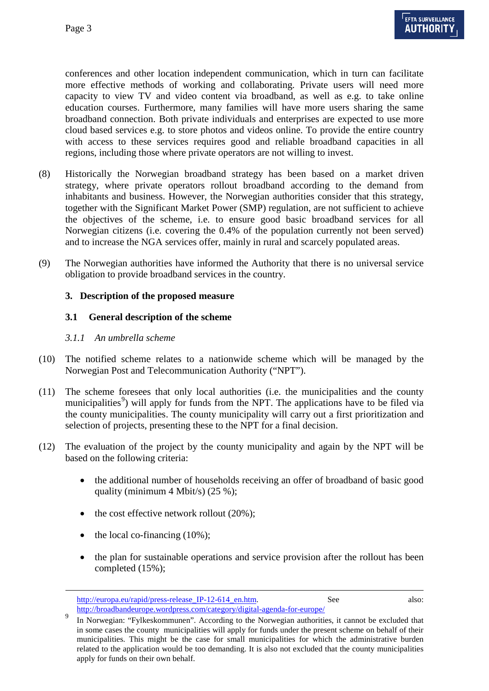conferences and other location independent communication, which in turn can facilitate more effective methods of working and collaborating. Private users will need more capacity to view TV and video content via broadband, as well as e.g. to take online education courses. Furthermore, many families will have more users sharing the same broadband connection. Both private individuals and enterprises are expected to use more cloud based services e.g. to store photos and videos online. To provide the entire country with access to these services requires good and reliable broadband capacities in all regions, including those where private operators are not willing to invest.

- (8) Historically the Norwegian broadband strategy has been based on a market driven strategy, where private operators rollout broadband according to the demand from inhabitants and business. However, the Norwegian authorities consider that this strategy, together with the Significant Market Power (SMP) regulation, are not sufficient to achieve the objectives of the scheme, i.e. to ensure good basic broadband services for all Norwegian citizens (i.e. covering the 0.4% of the population currently not been served) and to increase the NGA services offer, mainly in rural and scarcely populated areas.
- <span id="page-2-1"></span>(9) The Norwegian authorities have informed the Authority that there is no universal service obligation to provide broadband services in the country.

### **3. Description of the proposed measure**

### **3.1 General description of the scheme**

#### *3.1.1 An umbrella scheme*

- (10) The notified scheme relates to a nationwide scheme which will be managed by the Norwegian Post and Telecommunication Authority ("NPT").
- (11) The scheme foresees that only local authorities (i.e. the municipalities and the county municipalities<sup>[9](#page-1-4)</sup>) will apply for funds from the NPT. The applications have to be filed via the county municipalities. The county municipality will carry out a first prioritization and selection of projects, presenting these to the NPT for a final decision.
- (12) The evaluation of the project by the county municipality and again by the NPT will be based on the following criteria:
	- the additional number of households receiving an offer of broadband of basic good quality (minimum 4 Mbit/s) (25 %);
	- the cost effective network rollout  $(20\%)$ ;
	- the local co-financing  $(10\%)$ ;

-

• the plan for sustainable operations and service provision after the rollout has been completed (15%);

[http://europa.eu/rapid/press-release\\_IP-12-614\\_en.htm.](http://europa.eu/rapid/press-release_IP-12-614_en.htm) See also: <http://broadbandeurope.wordpress.com/category/digital-agenda-for-europe/>

<span id="page-2-0"></span>In Norwegian: "Fylkeskommunen". According to the Norwegian authorities, it cannot be excluded that in some cases the county municipalities will apply for funds under the present scheme on behalf of their municipalities. This might be the case for small municipalities for which the administrative burden related to the application would be too demanding. It is also not excluded that the county municipalities apply for funds on their own behalf.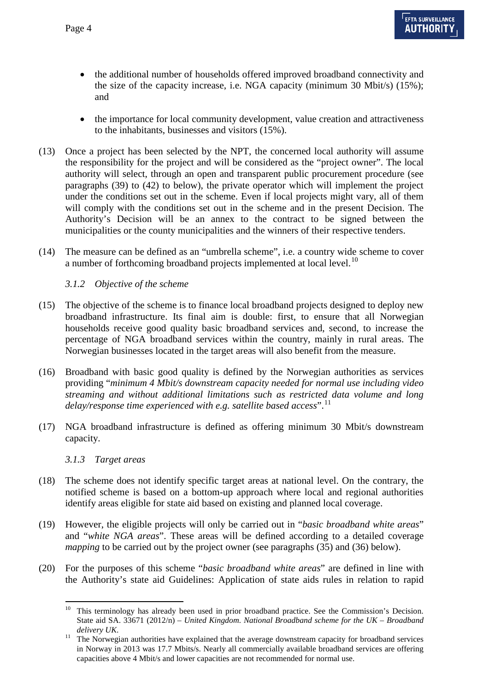- the additional number of households offered improved broadband connectivity and the size of the capacity increase, i.e. NGA capacity (minimum 30 Mbit/s) (15%); and
- the importance for local community development, value creation and attractiveness to the inhabitants, businesses and visitors (15%).
- (13) Once a project has been selected by the NPT, the concerned local authority will assume the responsibility for the project and will be considered as the "project owner". The local authority will select, through an open and transparent public procurement procedure (see paragraphs [\(39\)](#page-6-0) to [\(42\)](#page-6-1) to below), the private operator which will implement the project under the conditions set out in the scheme. Even if local projects might vary, all of them will comply with the conditions set out in the scheme and in the present Decision. The Authority's Decision will be an annex to the contract to be signed between the municipalities or the county municipalities and the winners of their respective tenders.
- (14) The measure can be defined as an "umbrella scheme", i.e. a country wide scheme to cover a number of forthcoming broadband projects implemented at local level.<sup>[10](#page-2-0)</sup>

*3.1.2 Objective of the scheme*

- (15) The objective of the scheme is to finance local broadband projects designed to deploy new broadband infrastructure. Its final aim is double: first, to ensure that all Norwegian households receive good quality basic broadband services and, second, to increase the percentage of NGA broadband services within the country, mainly in rural areas. The Norwegian businesses located in the target areas will also benefit from the measure.
- (16) Broadband with basic good quality is defined by the Norwegian authorities as services providing "*minimum 4 Mbit/s downstream capacity needed for normal use including video streaming and without additional limitations such as restricted data volume and long*  delay/response time experienced with e.g. satellite based access".<sup>[11](#page-3-0)</sup>
- (17) NGA broadband infrastructure is defined as offering minimum 30 Mbit/s downstream capacity.

*3.1.3 Target areas*

- (18) The scheme does not identify specific target areas at national level. On the contrary, the notified scheme is based on a bottom-up approach where local and regional authorities identify areas eligible for state aid based on existing and planned local coverage.
- <span id="page-3-1"></span>(19) However, the eligible projects will only be carried out in "*basic broadband white areas*" and "*white NGA areas*". These areas will be defined according to a detailed coverage *mapping* to be carried out by the project owner (see paragraphs [\(35\)](#page-6-2) and [\(36\)](#page-6-3) below).
- <span id="page-3-2"></span>(20) For the purposes of this scheme "*basic broadband white areas*" are defined in line with the Authority's state aid Guidelines: Application of state aids rules in relation to rapid

This terminology has already been used in prior broadband practice. See the Commission's Decision. State aid SA. 33671 (2012/n) – *United Kingdom. National Broadband scheme for the UK – Broadband* 

<span id="page-3-0"></span>*delivery UK*.<br><sup>11</sup> The Norwegian authorities have explained that the average downstream capacity for broadband services in Norway in 2013 was 17.7 Mbits/s. Nearly all commercially available broadband services are offering capacities above 4 Mbit/s and lower capacities are not recommended for normal use.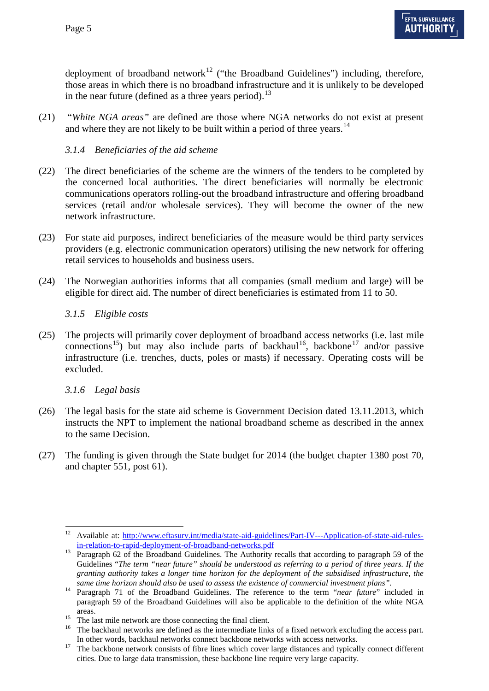deployment of broadband network<sup>[12](#page-3-1)</sup> ("the Broadband Guidelines") including, therefore, those areas in which there is no broadband infrastructure and it is unlikely to be developed in the near future (defined as a three years period).<sup>[13](#page-4-0)</sup>

<span id="page-4-6"></span>(21) "*White NGA areas"* are defined are those where NGA networks do not exist at present and where they are not likely to be built within a period of three years.<sup>[14](#page-4-1)</sup>

### *3.1.4 Beneficiaries of the aid scheme*

- (22) The direct beneficiaries of the scheme are the winners of the tenders to be completed by the concerned local authorities. The direct beneficiaries will normally be electronic communications operators rolling-out the broadband infrastructure and offering broadband services (retail and/or wholesale services). They will become the owner of the new network infrastructure.
- (23) For state aid purposes, indirect beneficiaries of the measure would be third party services providers (e.g. electronic communication operators) utilising the new network for offering retail services to households and business users.
- (24) The Norwegian authorities informs that all companies (small medium and large) will be eligible for direct aid. The number of direct beneficiaries is estimated from 11 to 50.

### *3.1.5 Eligible costs*

(25) The projects will primarily cover deployment of broadband access networks (i.e. last mile connections<sup>[15](#page-4-2)</sup>) but may also include parts of backhaul<sup>16</sup>, backbone<sup>[17](#page-4-4)</sup> and/or passive infrastructure (i.e. trenches, ducts, poles or masts) if necessary. Operating costs will be excluded.

### *3.1.6 Legal basis*

- (26) The legal basis for the state aid scheme is Government Decision dated 13.11.2013, which instructs the NPT to implement the national broadband scheme as described in the annex to the same Decision.
- (27) The funding is given through the State budget for 2014 (the budget chapter 1380 post 70, and chapter 551, post 61).

<sup>&</sup>lt;sup>12</sup> Available at: http://www.eftasurv.int/media/state-aid-guidelines/Part-IV---Application-of-state-aid-rules-<br>in-relation-to-rapid-deployment-of-broadband-networks.pdf

<span id="page-4-5"></span><span id="page-4-0"></span> $\frac{13}{2}$  Paragraph 62 of the Broadband-Guidelines. The Authority recalls that according to paragraph 59 of the Guidelines "*The term "near future" should be understood as referring to a period of three years. If the granting authority takes a longer time horizon for the deployment of the subsidised infrastructure, the* 

<span id="page-4-1"></span>*same time horizon should also be used to assess the existence of commercial investment plans".* <sup>14</sup> Paragraph 71 of the Broadband Guidelines. The reference to the term "*near future*" included in paragraph 59 of the Broadband Guidelines will also be applicable to the definition of the white NGA

<span id="page-4-2"></span>areas.<br><sup>15</sup> The last mile network are those connecting the final client.<br><sup>16</sup> The backhaul networks are defined as the intermediate links of a fixed network excluding the access part.

<span id="page-4-4"></span><span id="page-4-3"></span>In other words, backhaul networks connect backbone networks with access networks. 17 The backbone network consists of fibre lines which cover large distances and typically connect different cities. Due to large data transmission, these backbone line require very large capacity.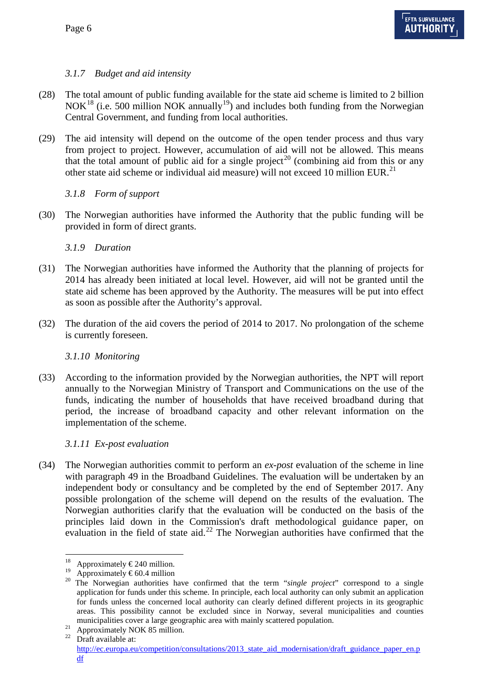# *3.1.7 Budget and aid intensity*

- (28) The total amount of public funding available for the state aid scheme is limited to 2 billion  $NOK<sup>18</sup>$  $NOK<sup>18</sup>$  $NOK<sup>18</sup>$  (i.e. 500 million NOK annually<sup>19</sup>) and includes both funding from the Norwegian Central Government, and funding from local authorities.
- <span id="page-5-4"></span>(29) The aid intensity will depend on the outcome of the open tender process and thus vary from project to project. However, accumulation of aid will not be allowed. This means that the total amount of public aid for a single project<sup>[20](#page-5-1)</sup> (combining aid from this or any other state aid scheme or individual aid measure) will not exceed 10 million EUR.<sup>[21](#page-5-2)</sup>

# *3.1.8 Form of support*

(30) The Norwegian authorities have informed the Authority that the public funding will be provided in form of direct grants.

# *3.1.9 Duration*

- (31) The Norwegian authorities have informed the Authority that the planning of projects for 2014 has already been initiated at local level. However, aid will not be granted until the state aid scheme has been approved by the Authority. The measures will be put into effect as soon as possible after the Authority's approval.
- (32) The duration of the aid covers the period of 2014 to 2017. No prolongation of the scheme is currently foreseen.

# *3.1.10 Monitoring*

(33) According to the information provided by the Norwegian authorities, the NPT will report annually to the Norwegian Ministry of Transport and Communications on the use of the funds, indicating the number of households that have received broadband during that period, the increase of broadband capacity and other relevant information on the implementation of the scheme.

# <span id="page-5-5"></span>*3.1.11 Ex-post evaluation*

(34) The Norwegian authorities commit to perform an *ex-post* evaluation of the scheme in line with paragraph 49 in the Broadband Guidelines. The evaluation will be undertaken by an independent body or consultancy and be completed by the end of September 2017. Any possible prolongation of the scheme will depend on the results of the evaluation. The Norwegian authorities clarify that the evaluation will be conducted on the basis of the principles laid down in the Commission's draft methodological guidance paper, on evaluation in the field of state aid.<sup>[22](#page-5-3)</sup> The Norwegian authorities have confirmed that the

<sup>&</sup>lt;sup>18</sup> Approximately €240 million.<br><sup>19</sup> Approximately €60.4 million

<span id="page-5-1"></span><span id="page-5-0"></span><sup>&</sup>lt;sup>19</sup> Approximately  $\epsilon$ 60.4 million 20 The Norwegian authorities have confirmed that the term "*single project*" correspond to a single application for funds under this scheme. In principle, each local authority can only submit an application for funds unless the concerned local authority can clearly defined different projects in its geographic areas. This possibility cannot be excluded since in Norway, several municipalities and counties

<span id="page-5-3"></span><span id="page-5-2"></span>municipalities cover a large geographic area with mainly scattered population.<br>
<sup>21</sup> Approximately NOK 85 million.<br>
<sup>22</sup> Draft available at: [http://ec.europa.eu/competition/consultations/2013\\_state\\_aid\\_modernisation/draft\\_guidance\\_paper\\_en.p](http://ec.europa.eu/competition/consultations/2013_state_aid_modernisation/draft_guidance_paper_en.pdf) [df](http://ec.europa.eu/competition/consultations/2013_state_aid_modernisation/draft_guidance_paper_en.pdf)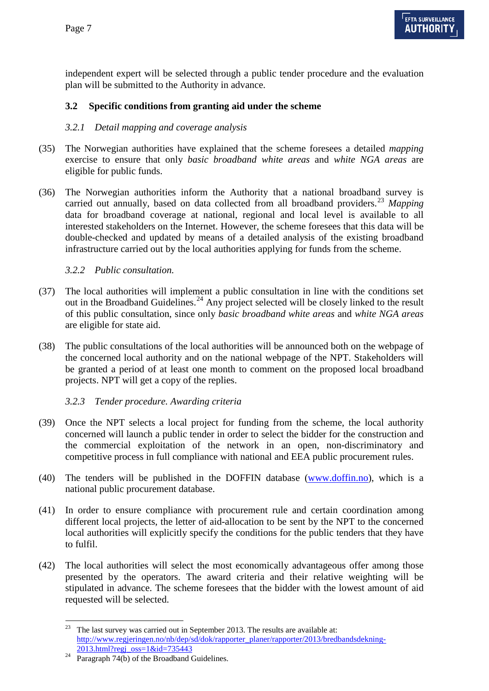independent expert will be selected through a public tender procedure and the evaluation plan will be submitted to the Authority in advance.

### **3.2 Specific conditions from granting aid under the scheme**

### <span id="page-6-2"></span>*3.2.1 Detail mapping and coverage analysis*

- (35) The Norwegian authorities have explained that the scheme foresees a detailed *mapping* exercise to ensure that only *basic broadband white areas* and *white NGA areas* are eligible for public funds.
- <span id="page-6-3"></span>(36) The Norwegian authorities inform the Authority that a national broadband survey is carried out annually, based on data collected from all broadband providers. [23](#page-5-2) *Mapping* data for broadband coverage at national, regional and local level is available to all interested stakeholders on the Internet. However, the scheme foresees that this data will be double-checked and updated by means of a detailed analysis of the existing broadband infrastructure carried out by the local authorities applying for funds from the scheme.

### <span id="page-6-5"></span>*3.2.2 Public consultation.*

- (37) The local authorities will implement a public consultation in line with the conditions set out in the Broadband Guidelines.<sup>[24](#page-6-4)</sup> Any project selected will be closely linked to the result of this public consultation, since only *basic broadband white areas* and *white NGA areas* are eligible for state aid.
- <span id="page-6-6"></span>(38) The public consultations of the local authorities will be announced both on the webpage of the concerned local authority and on the national webpage of the NPT. Stakeholders will be granted a period of at least one month to comment on the proposed local broadband projects. NPT will get a copy of the replies.

### <span id="page-6-0"></span>*3.2.3 Tender procedure. Awarding criteria*

- (39) Once the NPT selects a local project for funding from the scheme, the local authority concerned will launch a public tender in order to select the bidder for the construction and the commercial exploitation of the network in an open, non-discriminatory and competitive process in full compliance with national and EEA public procurement rules.
- (40) The tenders will be published in the DOFFIN database [\(www.doffin.no\)](http://www.doffin.no/), which is a national public procurement database.
- (41) In order to ensure compliance with procurement rule and certain coordination among different local projects, the letter of aid-allocation to be sent by the NPT to the concerned local authorities will explicitly specify the conditions for the public tenders that they have to fulfil.
- <span id="page-6-7"></span><span id="page-6-1"></span>(42) The local authorities will select the most economically advantageous offer among those presented by the operators. The award criteria and their relative weighting will be stipulated in advance. The scheme foresees that the bidder with the lowest amount of aid requested will be selected.

<sup>&</sup>lt;sup>23</sup> The last survey was carried out in September 2013. The results are available at: [http://www.regjeringen.no/nb/dep/sd/dok/rapporter\\_planer/rapporter/2013/bredbandsdekning-](http://www.regjeringen.no/nb/dep/sd/dok/rapporter_planer/rapporter/2013/bredbandsdekning-2013.html?regj_oss=1&id=735443) $2013.$ html?regj\_oss=1&id=735443<br>Paragraph 74(b) of the Broadband Guidelines.

<span id="page-6-4"></span>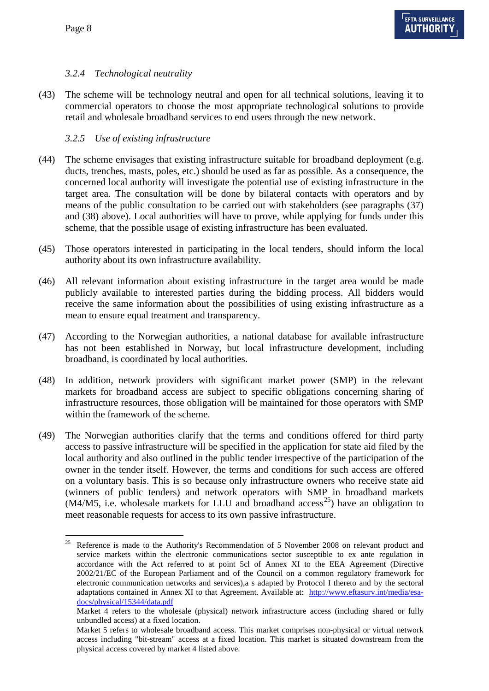# *3.2.4 Technological neutrality*

(43) The scheme will be technology neutral and open for all technical solutions, leaving it to commercial operators to choose the most appropriate technological solutions to provide retail and wholesale broadband services to end users through the new network.

## <span id="page-7-1"></span>*3.2.5 Use of existing infrastructure*

- (44) The scheme envisages that existing infrastructure suitable for broadband deployment (e.g. ducts, trenches, masts, poles, etc.) should be used as far as possible. As a consequence, the concerned local authority will investigate the potential use of existing infrastructure in the target area. The consultation will be done by bilateral contacts with operators and by means of the public consultation to be carried out with stakeholders (see paragraphs [\(37\)](#page-6-5) and [\(38\)](#page-6-6) above). Local authorities will have to prove, while applying for funds under this scheme, that the possible usage of existing infrastructure has been evaluated.
- <span id="page-7-2"></span>(45) Those operators interested in participating in the local tenders, should inform the local authority about its own infrastructure availability.
- <span id="page-7-3"></span>(46) All relevant information about existing infrastructure in the target area would be made publicly available to interested parties during the bidding process. All bidders would receive the same information about the possibilities of using existing infrastructure as a mean to ensure equal treatment and transparency.
- (47) According to the Norwegian authorities, a national database for available infrastructure has not been established in Norway, but local infrastructure development, including broadband, is coordinated by local authorities.
- (48) In addition, network providers with significant market power (SMP) in the relevant markets for broadband access are subject to specific obligations concerning sharing of infrastructure resources, those obligation will be maintained for those operators with SMP within the framework of the scheme.
- (49) The Norwegian authorities clarify that the terms and conditions offered for third party access to passive infrastructure will be specified in the application for state aid filed by the local authority and also outlined in the public tender irrespective of the participation of the owner in the tender itself. However, the terms and conditions for such access are offered on a voluntary basis. This is so because only infrastructure owners who receive state aid (winners of public tenders) and network operators with SMP in broadband markets  $(M4/M5, i.e.$  wholesale markets for LLU and broadband access<sup>25</sup>) have an obligation to meet reasonable requests for access to its own passive infrastructure.

<span id="page-7-0"></span><sup>&</sup>lt;sup>25</sup> Reference is made to the Authority's Recommendation of 5 November 2008 on relevant product and service markets within the electronic communications sector susceptible to ex ante regulation in accordance with the Act referred to at point 5cl of Annex XI to the EEA Agreement (Directive 2002/21/EC of the European Parliament and of the Council on a common regulatory framework for electronic communication networks and services),a s adapted by Protocol I thereto and by the sectoral adaptations contained in Annex XI to that Agreement. Available at: [http://www.eftasurv.int/media/esa](http://www.eftasurv.int/media/esa-docs/physical/15344/data.pdf)[docs/physical/15344/data.pdf](http://www.eftasurv.int/media/esa-docs/physical/15344/data.pdf)

Market 4 refers to the wholesale (physical) network infrastructure access (including shared or fully unbundled access) at a fixed location.

Market 5 refers to wholesale broadband access. This market comprises non-physical or virtual network access including "bit-stream" access at a fixed location. This market is situated downstream from the physical access covered by market 4 listed above.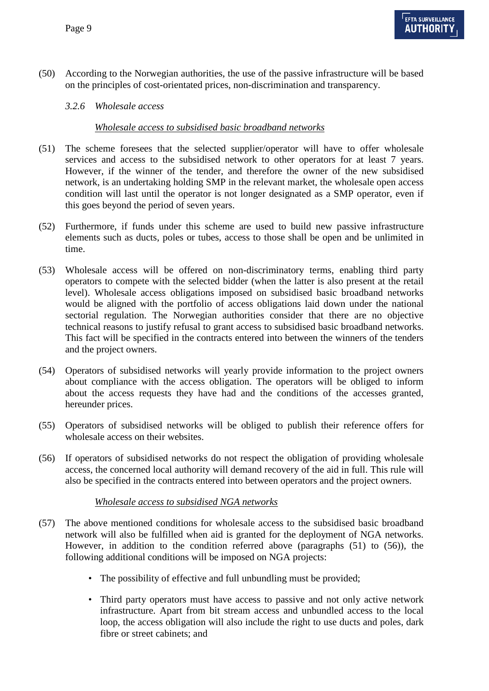<span id="page-8-3"></span>(50) According to the Norwegian authorities, the use of the passive infrastructure will be based on the principles of cost-orientated prices, non-discrimination and transparency.

### *3.2.6 Wholesale access*

### *Wholesale access to subsidised basic broadband networks*

- <span id="page-8-0"></span>(51) The scheme foresees that the selected supplier/operator will have to offer wholesale services and access to the subsidised network to other operators for at least 7 years. However, if the winner of the tender, and therefore the owner of the new subsidised network, is an undertaking holding SMP in the relevant market, the wholesale open access condition will last until the operator is not longer designated as a SMP operator, even if this goes beyond the period of seven years.
- (52) Furthermore, if funds under this scheme are used to build new passive infrastructure elements such as ducts, poles or tubes, access to those shall be open and be unlimited in time.
- (53) Wholesale access will be offered on non-discriminatory terms, enabling third party operators to compete with the selected bidder (when the latter is also present at the retail level). Wholesale access obligations imposed on subsidised basic broadband networks would be aligned with the portfolio of access obligations laid down under the national sectorial regulation. The Norwegian authorities consider that there are no objective technical reasons to justify refusal to grant access to subsidised basic broadband networks. This fact will be specified in the contracts entered into between the winners of the tenders and the project owners.
- (54) Operators of subsidised networks will yearly provide information to the project owners about compliance with the access obligation. The operators will be obliged to inform about the access requests they have had and the conditions of the accesses granted, hereunder prices.
- (55) Operators of subsidised networks will be obliged to publish their reference offers for wholesale access on their websites.
- <span id="page-8-1"></span>(56) If operators of subsidised networks do not respect the obligation of providing wholesale access, the concerned local authority will demand recovery of the aid in full. This rule will also be specified in the contracts entered into between operators and the project owners.

#### *Wholesale access to subsidised NGA networks*

- <span id="page-8-2"></span>(57) The above mentioned conditions for wholesale access to the subsidised basic broadband network will also be fulfilled when aid is granted for the deployment of NGA networks. However, in addition to the condition referred above (paragraphs [\(51\)](#page-8-0) to [\(56\)\)](#page-8-1), the following additional conditions will be imposed on NGA projects:
	- The possibility of effective and full unbundling must be provided;
	- Third party operators must have access to passive and not only active network infrastructure. Apart from bit stream access and unbundled access to the local loop, the access obligation will also include the right to use ducts and poles, dark fibre or street cabinets; and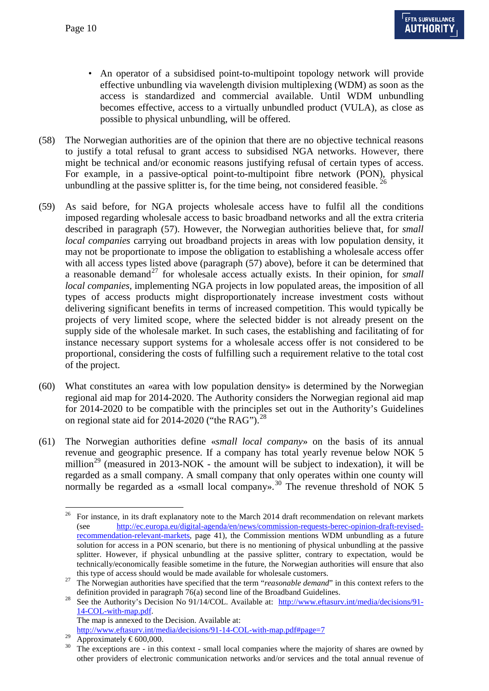- An operator of a subsidised point-to-multipoint topology network will provide effective unbundling via wavelength division multiplexing (WDM) as soon as the access is standardized and commercial available. Until WDM unbundling becomes effective, access to a virtually unbundled product (VULA), as close as possible to physical unbundling, will be offered.
- (58) The Norwegian authorities are of the opinion that there are no objective technical reasons to justify a total refusal to grant access to subsidised NGA networks. However, there might be technical and/or economic reasons justifying refusal of certain types of access. For example, in a passive-optical point-to-multipoint fibre network (PON), physical unbundling at the passive splitter is, for the time being, not considered feasible.  $26$
- (59) As said before, for NGA projects wholesale access have to fulfil all the conditions imposed regarding wholesale access to basic broadband networks and all the extra criteria described in paragraph [\(57\).](#page-8-2) However, the Norwegian authorities believe that, for *small local companies* carrying out broadband projects in areas with low population density, it may not be proportionate to impose the obligation to establishing a wholesale access offer with all access types listed above (paragraph  $(57)$  above), before it can be determined that a reasonable demand<sup>[27](#page-9-0)</sup> for wholesale access actually exists. In their opinion, for *small local companies,* implementing NGA projects in low populated areas, the imposition of all types of access products might disproportionately increase investment costs without delivering significant benefits in terms of increased competition. This would typically be projects of very limited scope, where the selected bidder is not already present on the supply side of the wholesale market. In such cases, the establishing and facilitating of for instance necessary support systems for a wholesale access offer is not considered to be proportional, considering the costs of fulfilling such a requirement relative to the total cost of the project.
- (60) What constitutes an «area with low population density» is determined by the Norwegian regional aid map for 2014-2020. The Authority considers the Norwegian regional aid map for 2014-2020 to be compatible with the principles set out in the Authority's Guidelines on regional state aid for  $2014-2020$  ("the RAG").<sup>[28](#page-9-1)</sup>
- (61) The Norwegian authorities define «*small local company*» on the basis of its annual revenue and geographic presence. If a company has total yearly revenue below NOK 5 million<sup>[29](#page-9-2)</sup> (measured in 2013-NOK - the amount will be subject to indexation), it will be regarded as a small company. A small company that only operates within one county will normally be regarded as a «small local company».<sup>[30](#page-9-3)</sup> The revenue threshold of NOK 5

<http://www.eftasurv.int/media/decisions/91-14-COL-with-map.pdf#page=7>

<span id="page-9-4"></span><sup>&</sup>lt;sup>26</sup> For instance, in its draft explanatory note to the March 2014 draft recommendation on relevant markets (see [http://ec.europa.eu/digital-agenda/en/news/commission-requests-berec-opinion-draft-revised](http://ec.europa.eu/digital-agenda/en/news/commission-requests-berec-opinion-draft-revised-recommendation-relevant-markets)[recommendation-relevant-markets,](http://ec.europa.eu/digital-agenda/en/news/commission-requests-berec-opinion-draft-revised-recommendation-relevant-markets) page 41), the Commission mentions WDM unbundling as a future solution for access in a PON scenario, but there is no mentioning of physical unbundling at the passive splitter. However, if physical unbundling at the passive splitter, contrary to expectation, would be technically/economically feasible sometime in the future, the Norwegian authorities will ensure that also

<span id="page-9-0"></span>this type of access should would be made available for wholesale customers.<br><sup>27</sup> The Norwegian authorities have specified that the term "*reasonable demand*" in this context refers to the

<span id="page-9-1"></span>definition provided in paragraph 76(a) second line of the Broadband Guidelines.<br><sup>28</sup> See the Authority's Decision No 91/14/COL. Available at: [http://www.eftasurv.int/media/decisions/91-](http://www.eftasurv.int/media/decisions/91-14-COL-with-map.pdf) [14-COL-with-map.pdf.](http://www.eftasurv.int/media/decisions/91-14-COL-with-map.pdf)  The map is annexed to the Decision. Available at:

<span id="page-9-3"></span><span id="page-9-2"></span><sup>&</sup>lt;sup>29</sup> Approximately  $\epsilon$ 600,000.<br><sup>30</sup> The exceptions are - in this context - small local companies where the majority of shares are owned by other providers of electronic communication networks and/or services and the total annual revenue of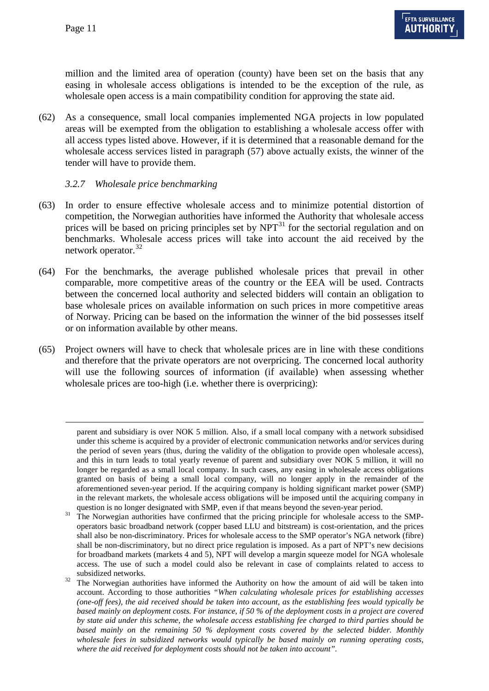-

million and the limited area of operation (county) have been set on the basis that any easing in wholesale access obligations is intended to be the exception of the rule, as wholesale open access is a main compatibility condition for approving the state aid.

(62) As a consequence, small local companies implemented NGA projects in low populated areas will be exempted from the obligation to establishing a wholesale access offer with all access types listed above. However, if it is determined that a reasonable demand for the wholesale access services listed in paragraph [\(57\)](#page-8-2) above actually exists, the winner of the tender will have to provide them.

### *3.2.7 Wholesale price benchmarking*

- (63) In order to ensure effective wholesale access and to minimize potential distortion of competition, the Norwegian authorities have informed the Authority that wholesale access prices will be based on pricing principles set by  $NPT<sup>31</sup>$  $NPT<sup>31</sup>$  $NPT<sup>31</sup>$  for the sectorial regulation and on benchmarks. Wholesale access prices will take into account the aid received by the network operator.<sup>[32](#page-10-0)</sup>
- (64) For the benchmarks, the average published wholesale prices that prevail in other comparable, more competitive areas of the country or the EEA will be used. Contracts between the concerned local authority and selected bidders will contain an obligation to base wholesale prices on available information on such prices in more competitive areas of Norway. Pricing can be based on the information the winner of the bid possesses itself or on information available by other means.
- <span id="page-10-1"></span>(65) Project owners will have to check that wholesale prices are in line with these conditions and therefore that the private operators are not overpricing. The concerned local authority will use the following sources of information (if available) when assessing whether wholesale prices are too-high (i.e. whether there is overpricing):

parent and subsidiary is over NOK 5 million. Also, if a small local company with a network subsidised under this scheme is acquired by a provider of electronic communication networks and/or services during the period of seven years (thus, during the validity of the obligation to provide open wholesale access), and this in turn leads to total yearly revenue of parent and subsidiary over NOK 5 million, it will no longer be regarded as a small local company. In such cases, any easing in wholesale access obligations granted on basis of being a small local company, will no longer apply in the remainder of the aforementioned seven-year period. If the acquiring company is holding significant market power (SMP) in the relevant markets, the wholesale access obligations will be imposed until the acquiring company in

question is no longer designated with SMP, even if that means beyond the seven-year period. The Norwegian authorities have confirmed that the pricing principle for wholesale access to the SMPoperators basic broadband network (copper based LLU and bitstream) is cost-orientation, and the prices shall also be non-discriminatory. Prices for wholesale access to the SMP operator's NGA network (fibre) shall be non-discriminatory, but no direct price regulation is imposed. As a part of NPT's new decisions for broadband markets (markets 4 and 5), NPT will develop a margin squeeze model for NGA wholesale access. The use of such a model could also be relevant in case of complaints related to access to

<span id="page-10-2"></span><span id="page-10-0"></span>subsidized networks.<br>The Norwegian authorities have informed the Authority on how the amount of aid will be taken into account. According to those authorities *"When calculating wholesale prices for establishing accesses (one-off fees), the aid received should be taken into account, as the establishing fees would typically be based mainly on deployment costs. For instance, if 50 % of the deployment costs in a project are covered by state aid under this scheme, the wholesale access establishing fee charged to third parties should be based mainly on the remaining 50 % deployment costs covered by the selected bidder. Monthly wholesale fees in subsidized networks would typically be based mainly on running operating costs, where the aid received for deployment costs should not be taken into account".*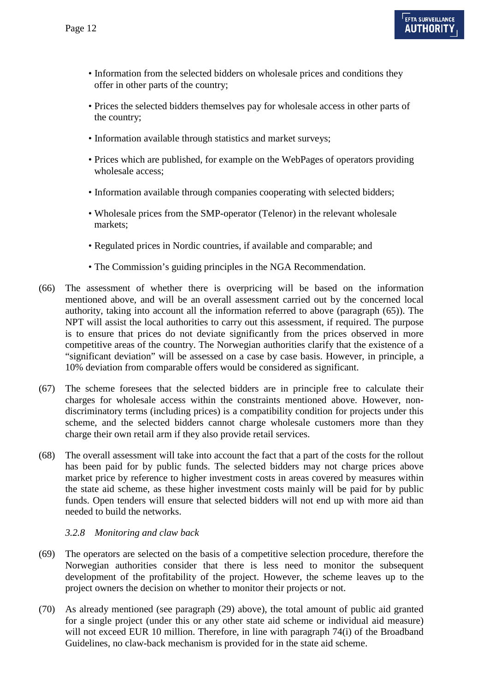- Information from the selected bidders on wholesale prices and conditions they offer in other parts of the country;
- Prices the selected bidders themselves pay for wholesale access in other parts of the country;
- Information available through statistics and market surveys;
- Prices which are published, for example on the WebPages of operators providing wholesale access;
- Information available through companies cooperating with selected bidders;
- Wholesale prices from the SMP-operator (Telenor) in the relevant wholesale markets;
- Regulated prices in Nordic countries, if available and comparable; and
- The Commission's guiding principles in the NGA Recommendation.
- (66) The assessment of whether there is overpricing will be based on the information mentioned above, and will be an overall assessment carried out by the concerned local authority, taking into account all the information referred to above (paragraph [\(65\)\)](#page-10-1). The NPT will assist the local authorities to carry out this assessment, if required. The purpose is to ensure that prices do not deviate significantly from the prices observed in more competitive areas of the country. The Norwegian authorities clarify that the existence of a "significant deviation" will be assessed on a case by case basis. However, in principle, a 10% deviation from comparable offers would be considered as significant.
- (67) The scheme foresees that the selected bidders are in principle free to calculate their charges for wholesale access within the constraints mentioned above. However, nondiscriminatory terms (including prices) is a compatibility condition for projects under this scheme, and the selected bidders cannot charge wholesale customers more than they charge their own retail arm if they also provide retail services.
- (68) The overall assessment will take into account the fact that a part of the costs for the rollout has been paid for by public funds. The selected bidders may not charge prices above market price by reference to higher investment costs in areas covered by measures within the state aid scheme, as these higher investment costs mainly will be paid for by public funds. Open tenders will ensure that selected bidders will not end up with more aid than needed to build the networks.

#### *3.2.8 Monitoring and claw back*

- (69) The operators are selected on the basis of a competitive selection procedure, therefore the Norwegian authorities consider that there is less need to monitor the subsequent development of the profitability of the project. However, the scheme leaves up to the project owners the decision on whether to monitor their projects or not.
- (70) As already mentioned (see paragraph [\(29\)](#page-5-4) above), the total amount of public aid granted for a single project (under this or any other state aid scheme or individual aid measure) will not exceed EUR 10 million. Therefore, in line with paragraph 74(i) of the Broadband Guidelines, no claw-back mechanism is provided for in the state aid scheme.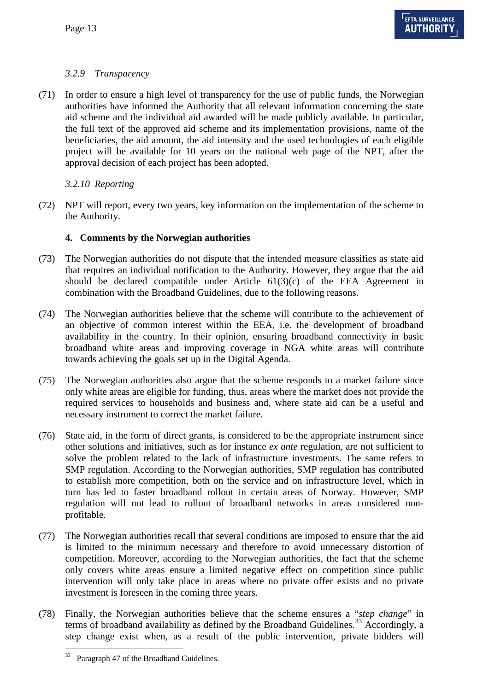# <span id="page-12-3"></span>*3.2.9 Transparency*

(71) In order to ensure a high level of transparency for the use of public funds, the Norwegian authorities have informed the Authority that all relevant information concerning the state aid scheme and the individual aid awarded will be made publicly available. In particular, the full text of the approved aid scheme and its implementation provisions, name of the beneficiaries, the aid amount, the aid intensity and the used technologies of each eligible project will be available for 10 years on the national web page of the NPT, after the approval decision of each project has been adopted.

# *3.2.10 Reporting*

(72) NPT will report, every two years, key information on the implementation of the scheme to the Authority.

# **4. Comments by the Norwegian authorities**

- (73) The Norwegian authorities do not dispute that the intended measure classifies as state aid that requires an individual notification to the Authority. However, they argue that the aid should be declared compatible under Article  $61(3)(c)$  of the EEA Agreement in combination with the Broadband Guidelines, due to the following reasons.
- (74) The Norwegian authorities believe that the scheme will contribute to the achievement of an objective of common interest within the EEA, i.e. the development of broadband availability in the country. In their opinion, ensuring broadband connectivity in basic broadband white areas and improving coverage in NGA white areas will contribute towards achieving the goals set up in the Digital Agenda.
- (75) The Norwegian authorities also argue that the scheme responds to a market failure since only white areas are eligible for funding, thus, areas where the market does not provide the required services to households and business and, where state aid can be a useful and necessary instrument to correct the market failure.
- <span id="page-12-1"></span>(76) State aid, in the form of direct grants, is considered to be the appropriate instrument since other solutions and initiatives, such as for instance *ex ante* regulation, are not sufficient to solve the problem related to the lack of infrastructure investments. The same refers to SMP regulation. According to the Norwegian authorities, SMP regulation has contributed to establish more competition, both on the service and on infrastructure level, which in turn has led to faster broadband rollout in certain areas of Norway. However, SMP regulation will not lead to rollout of broadband networks in areas considered nonprofitable.
- (77) The Norwegian authorities recall that several conditions are imposed to ensure that the aid is limited to the minimum necessary and therefore to avoid unnecessary distortion of competition. Moreover, according to the Norwegian authorities, the fact that the scheme only covers white areas ensure a limited negative effect on competition since public intervention will only take place in areas where no private offer exists and no private investment is foreseen in the coming three years.
- <span id="page-12-2"></span><span id="page-12-0"></span>(78) Finally, the Norwegian authorities believe that the scheme ensures a "*step change*" in terms of broadband availability as defined by the Broadband Guidelines. [33](#page-10-2) Accordingly, a step change exist when, as a result of the public intervention, private bidders will

 <sup>33</sup> Paragraph 47 of the Broadband Guidelines.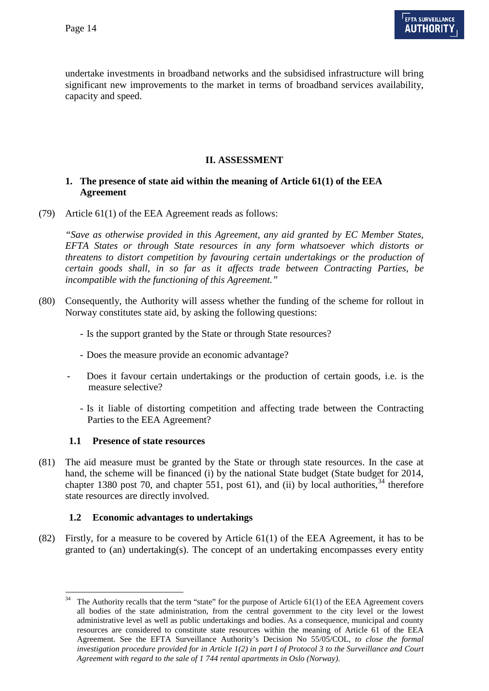undertake investments in broadband networks and the subsidised infrastructure will bring significant new improvements to the market in terms of broadband services availability, capacity and speed.

### **II. ASSESSMENT**

### **1. The presence of state aid within the meaning of Article 61(1) of the EEA Agreement**

(79) Article 61(1) of the EEA Agreement reads as follows:

*"Save as otherwise provided in this Agreement, any aid granted by EC Member States, EFTA States or through State resources in any form whatsoever which distorts or threatens to distort competition by favouring certain undertakings or the production of certain goods shall, in so far as it affects trade between Contracting Parties, be incompatible with the functioning of this Agreement."*

- (80) Consequently, the Authority will assess whether the funding of the scheme for rollout in Norway constitutes state aid, by asking the following questions:
	- Is the support granted by the State or through State resources?
	- Does the measure provide an economic advantage?
	- Does it favour certain undertakings or the production of certain goods, i.e. is the measure selective?
		- Is it liable of distorting competition and affecting trade between the Contracting Parties to the EEA Agreement?

### **1.1 Presence of state resources**

<span id="page-13-0"></span>(81) The aid measure must be granted by the State or through state resources. In the case at hand, the scheme will be financed (i) by the national State budget (State budget for 2014, chapter 1380 post 70, and chapter 551, post 61), and (ii) by local authorities,  $34$  therefore state resources are directly involved.

### **1.2 Economic advantages to undertakings**

(82) Firstly, for a measure to be covered by Article 61(1) of the EEA Agreement, it has to be granted to (an) undertaking(s). The concept of an undertaking encompasses every entity

The Authority recalls that the term "state" for the purpose of Article 61(1) of the EEA Agreement covers all bodies of the state administration, from the central government to the city level or the lowest administrative level as well as public undertakings and bodies. As a consequence, municipal and county resources are considered to constitute state resources within the meaning of Article 61 of the EEA Agreement. See the EFTA Surveillance Authority's Decision No 55/05/COL*, to close the formal investigation procedure provided for in Article 1(2) in part I of Protocol 3 to the Surveillance and Court Agreement with regard to the sale of 1 744 rental apartments in Oslo (Norway)*.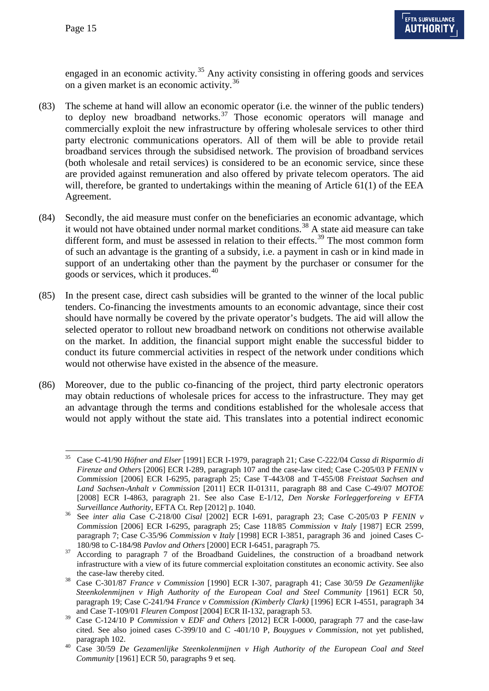engaged in an economic activity.<sup>[35](#page-13-0)</sup> Any activity consisting in offering goods and services on a given market is an economic activity. [36](#page-14-0)

- (83) The scheme at hand will allow an economic operator (i.e. the winner of the public tenders) to deploy new broadband networks.<sup>[37](#page-14-1)</sup> Those economic operators will manage and commercially exploit the new infrastructure by offering wholesale services to other third party electronic communications operators. All of them will be able to provide retail broadband services through the subsidised network. The provision of broadband services (both wholesale and retail services) is considered to be an economic service, since these are provided against remuneration and also offered by private telecom operators. The aid will, therefore, be granted to undertakings within the meaning of Article 61(1) of the EEA Agreement.
- (84) Secondly, the aid measure must confer on the beneficiaries an economic advantage, which it would not have obtained under normal market conditions.<sup>[38](#page-14-2)</sup> A state aid measure can take different form, and must be assessed in relation to their effects.<sup>[39](#page-14-3)</sup> The most common form of such an advantage is the granting of a subsidy, i.e. a payment in cash or in kind made in support of an undertaking other than the payment by the purchaser or consumer for the goods or services, which it produces.<sup>[40](#page-14-4)</sup>
- (85) In the present case, direct cash subsidies will be granted to the winner of the local public tenders. Co-financing the investments amounts to an economic advantage, since their cost should have normally be covered by the private operator's budgets. The aid will allow the selected operator to rollout new broadband network on conditions not otherwise available on the market. In addition, the financial support might enable the successful bidder to conduct its future commercial activities in respect of the network under conditions which would not otherwise have existed in the absence of the measure.
- (86) Moreover, due to the public co-financing of the project, third party electronic operators may obtain reductions of wholesale prices for access to the infrastructure. They may get an advantage through the terms and conditions established for the wholesale access that would not apply without the state aid. This translates into a potential indirect economic

 <sup>35</sup> Case C-41/90 *Höfner and Elser* [1991] ECR I-1979, paragraph 21; Case C-222/04 *Cassa di Risparmio di Firenze and Others* [2006] ECR I-289, paragraph 107 and the case-law cited; Case C-205/03 P *FENIN* v *Commission* [2006] ECR I-6295, paragraph 25; Case T-443/08 and T-455/08 *Freistaat Sachsen and Land Sachsen-Anhalt v Commission* [2011] ECR II-01311, paragraph 88 and Case C-49/07 *MOTOE* [2008] ECR I-4863, paragraph 21. See also Case E-1/12, *Den Norske Forleggerforeing v EFTA Surveillance Authority,* EFTA Ct. Rep [2012] p. 1040. <sup>36</sup> See *inter alia* Case C-218/00 *Cisal* [2002] ECR I-691, paragraph 23; Case C-205/03 P *FENIN v* 

<span id="page-14-0"></span>*Commissio*n [2006] ECR I-6295, paragraph 25; Case 118/85 *Commission* v *Italy* [1987] ECR 2599, paragraph 7; Case C-35/96 *Commission* v *Italy* [1998] ECR I-3851, paragraph 36 and joined Cases C-

<span id="page-14-1"></span><sup>180/98</sup> to C-184/98 *Pavlov and Others* [2000] ECR I-6451, paragraph 75*.* <sup>37</sup> According to paragraph 7 of the Broadband Guidelines, the construction of a broadband network infrastructure with a view of its future commercial exploitation constitutes an economic activity. See also

<span id="page-14-2"></span>the case-law thereby cited.<br>
38 Case C-301/87 *France v Commission* [1990] ECR I-307, paragraph 41; Case 30/59 *De Gezamenlijke Steenkolenmijnen v High Authority of the European Coal and Steel Community* [1961] ECR 50, paragraph 19; Case C-241/94 *France v Commission (Kimberly Clark)* [1996] ECR I-4551, paragraph 34 and Case T-109/01 *Fleuren Compost* [2004] ECR II-132, paragraph 53.

<span id="page-14-3"></span><sup>39</sup> Case C-124/10 P *Commission* v *EDF and Others* [2012] ECR I-0000, paragraph 77 and the case-law cited. See also joined cases C-399/10 and C -401/10 P, *Bouygues v Commission*, not yet published,

<span id="page-14-4"></span>paragraph 102. <sup>40</sup> Case 30/59 *De Gezamenlijke Steenkolenmijnen v High Authority of the European Coal and Steel Community* [1961] ECR 50, paragraphs 9 et seq.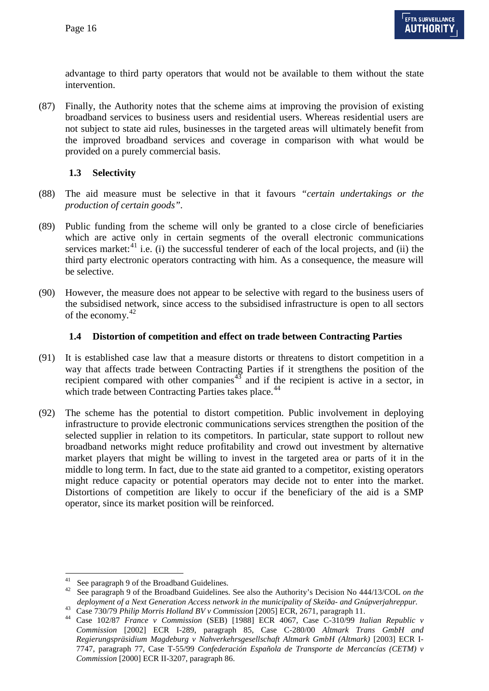advantage to third party operators that would not be available to them without the state intervention.

(87) Finally, the Authority notes that the scheme aims at improving the provision of existing broadband services to business users and residential users. Whereas residential users are not subject to state aid rules, businesses in the targeted areas will ultimately benefit from the improved broadband services and coverage in comparison with what would be provided on a purely commercial basis.

## **1.3 Selectivity**

- (88) The aid measure must be selective in that it favours *"certain undertakings or the production of certain goods".*
- (89) Public funding from the scheme will only be granted to a close circle of beneficiaries which are active only in certain segments of the overall electronic communications services market: $41$  i.e. (i) the successful tenderer of each of the local projects, and (ii) the third party electronic operators contracting with him. As a consequence, the measure will be selective.
- (90) However, the measure does not appear to be selective with regard to the business users of the subsidised network, since access to the subsidised infrastructure is open to all sectors of the economy.<sup>[42](#page-15-0)</sup>

## **1.4 Distortion of competition and effect on trade between Contracting Parties**

- (91) It is established case law that a measure distorts or threatens to distort competition in a way that affects trade between Contracting Parties if it strengthens the position of the recipient compared with other companies $43$  and if the recipient is active in a sector, in which trade between Contracting Parties takes place.<sup>[44](#page-15-2)</sup>
- (92) The scheme has the potential to distort competition. Public involvement in deploying infrastructure to provide electronic communications services strengthen the position of the selected supplier in relation to its competitors. In particular, state support to rollout new broadband networks might reduce profitability and crowd out investment by alternative market players that might be willing to invest in the targeted area or parts of it in the middle to long term. In fact, due to the state aid granted to a competitor, existing operators might reduce capacity or potential operators may decide not to enter into the market. Distortions of competition are likely to occur if the beneficiary of the aid is a SMP operator, since its market position will be reinforced.

<span id="page-15-2"></span>

<span id="page-15-3"></span><span id="page-15-0"></span><sup>41</sup> See paragraph 9 of the Broadband Guidelines. <sup>42</sup> See paragraph 9 of the Broadband Guidelines. See also the Authority's Decision No 444/13/COL *on the* 

<span id="page-15-1"></span>deployment of a Next Generation Access network in the municipality of Skeiða- and Gnúpverjahreppur.<br>
<sup>43</sup> Case 730/79 Philip Morris Holland BV v Commission [2005] ECR, 2671, paragraph 11.<br>
<sup>44</sup> Case 102/87 *France v Commi Commission* [2002] ECR I-289, paragraph 85, Case C-280/00 *Altmark Trans GmbH and Regierungspräsidium Magdeburg v Nahverkehrsgesellschaft Altmark GmbH (Altmark)* [2003] ECR I-7747, paragraph 77, Case T-55/99 *Confederación Española de Transporte de Mercancías (CETM) v Commission* [2000] ECR II-3207, paragraph 86.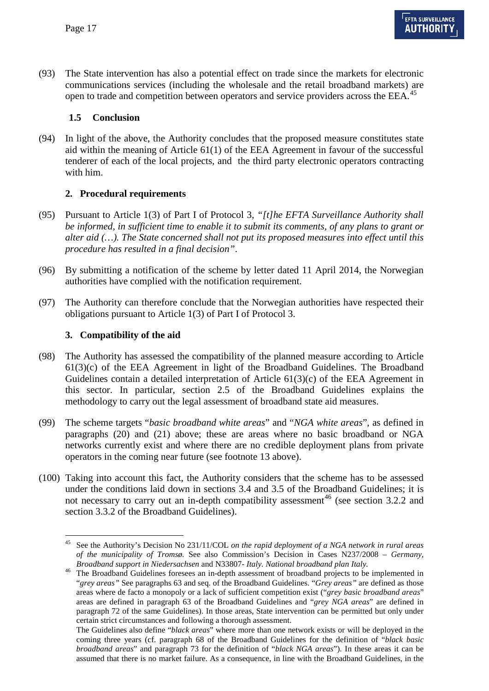(93) The State intervention has also a potential effect on trade since the markets for electronic communications services (including the wholesale and the retail broadband markets) are open to trade and competition between operators and service providers across the EEA.<sup>[45](#page-15-3)</sup>

### **1.5 Conclusion**

(94) In light of the above, the Authority concludes that the proposed measure constitutes state aid within the meaning of Article 61(1) of the EEA Agreement in favour of the successful tenderer of each of the local projects, and the third party electronic operators contracting with him.

## **2. Procedural requirements**

- (95) Pursuant to Article 1(3) of Part I of Protocol 3, *"[t]he EFTA Surveillance Authority shall be informed, in sufficient time to enable it to submit its comments, of any plans to grant or alter aid (…). The State concerned shall not put its proposed measures into effect until this procedure has resulted in a final decision"*.
- (96) By submitting a notification of the scheme by letter dated 11 April 2014, the Norwegian authorities have complied with the notification requirement.
- (97) The Authority can therefore conclude that the Norwegian authorities have respected their obligations pursuant to Article 1(3) of Part I of Protocol 3.

## **3. Compatibility of the aid**

- (98) The Authority has assessed the compatibility of the planned measure according to Article 61(3)(c) of the EEA Agreement in light of the Broadband Guidelines. The Broadband Guidelines contain a detailed interpretation of Article 61(3)(c) of the EEA Agreement in this sector. In particular, section 2.5 of the Broadband Guidelines explains the methodology to carry out the legal assessment of broadband state aid measures.
- (99) The scheme targets "*basic broadband white areas*" and "*NGA white areas*", as defined in paragraphs [\(20\)](#page-3-2) and [\(21\)](#page-4-6) above; these are areas where no basic broadband or NGA networks currently exist and where there are no credible deployment plans from private operators in the coming near future (see footnote 13 above).
- (100) Taking into account this fact, the Authority considers that the scheme has to be assessed under the conditions laid down in sections 3.4 and 3.5 of the Broadband Guidelines; it is not necessary to carry out an in-depth compatibility assessment<sup>[46](#page-16-0)</sup> (see section 3.2.2 and section 3.3.2 of the Broadband Guidelines).

 <sup>45</sup> See the Authority's Decision No 231/11/COL *on the rapid deployment of a NGA network in rural areas of the municipality of Tromsø.* See also Commission's Decision in Cases N237/2008 – *Germany,* 

<span id="page-16-0"></span>*Broadband support in Niedersachsen* and N33807- *Italy. National broadband plan Italy.* <sup>46</sup> The Broadband Guidelines foresees an in-depth assessment of broadband projects to be implemented in "*grey areas"* See paragraphs 63 and seq. of the Broadband Guidelines. "*Grey areas"* are defined as those areas where de facto a monopoly or a lack of sufficient competition exist ("*grey basic broadband areas*" areas are defined in paragraph 63 of the Broadband Guidelines and "*grey NGA areas*" are defined in paragraph 72 of the same Guidelines). In those areas, State intervention can be permitted but only under certain strict circumstances and following a thorough assessment.

<span id="page-16-1"></span>The Guidelines also define "*black areas*" where more than one network exists or will be deployed in the coming three years (cf. paragraph 68 of the Broadband Guidelines for the definition of "*black basic broadband areas*" and paragraph 73 for the definition of "*black NGA areas*"). In these areas it can be assumed that there is no market failure. As a consequence, in line with the Broadband Guidelines, in the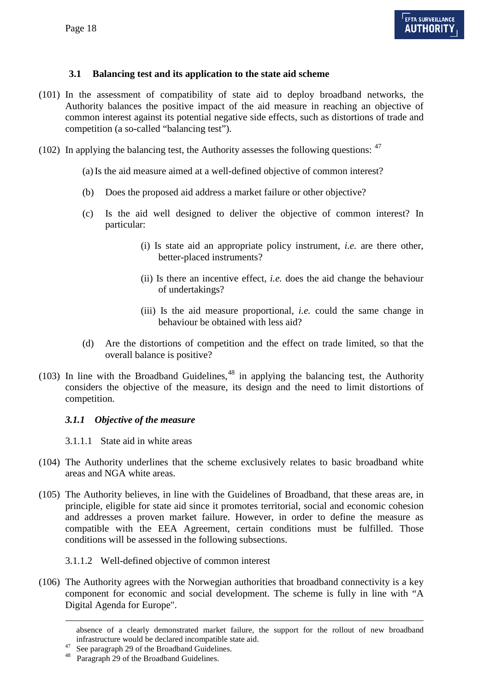# **3.1 Balancing test and its application to the state aid scheme**

- (101) In the assessment of compatibility of state aid to deploy broadband networks, the Authority balances the positive impact of the aid measure in reaching an objective of common interest against its potential negative side effects, such as distortions of trade and competition (a so-called "balancing test").
- (102) In applying the balancing test, the Authority assesses the following questions:  $47$

(a)Is the aid measure aimed at a well-defined objective of common interest?

- (b) Does the proposed aid address a market failure or other objective?
- (c) Is the aid well designed to deliver the objective of common interest? In particular:
	- (i) Is state aid an appropriate policy instrument, *i.e.* are there other, better-placed instruments?
	- (ii) Is there an incentive effect, *i.e.* does the aid change the behaviour of undertakings?
	- (iii) Is the aid measure proportional, *i.e.* could the same change in behaviour be obtained with less aid?
- (d) Are the distortions of competition and the effect on trade limited, so that the overall balance is positive?
- (103) In line with the Broadband Guidelines, $48$  in applying the balancing test, the Authority considers the objective of the measure, its design and the need to limit distortions of competition.

### *3.1.1 Objective of the measure*

- 3.1.1.1 State aid in white areas
- (104) The Authority underlines that the scheme exclusively relates to basic broadband white areas and NGA white areas.
- (105) The Authority believes, in line with the Guidelines of Broadband, that these areas are, in principle, eligible for state aid since it promotes territorial, social and economic cohesion and addresses a proven market failure. However, in order to define the measure as compatible with the EEA Agreement, certain conditions must be fulfilled. Those conditions will be assessed in the following subsections.

### 3.1.1.2 Well-defined objective of common interest

<span id="page-17-1"></span>(106) The Authority agrees with the Norwegian authorities that broadband connectivity is a key component for economic and social development. The scheme is fully in line with "A Digital Agenda for Europe".

-

absence of a clearly demonstrated market failure, the support for the rollout of new broadband infrastructure would be declared incompatible state aid.<br><sup>47</sup> See paragraph 29 of the Broadband Guidelines.<br><sup>48</sup> Paragraph 29 of the Broadband Guidelines.

<span id="page-17-0"></span>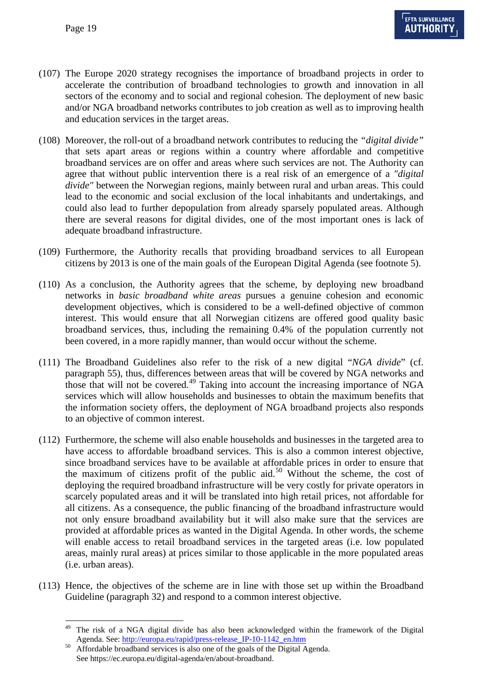- (107) The Europe 2020 strategy recognises the importance of broadband projects in order to accelerate the contribution of broadband technologies to growth and innovation in all sectors of the economy and to social and regional cohesion. The deployment of new basic and/or NGA broadband networks contributes to job creation as well as to improving health and education services in the target areas.
- (108) Moreover, the roll-out of a broadband network contributes to reducing the *"digital divide"* that sets apart areas or regions within a country where affordable and competitive broadband services are on offer and areas where such services are not. The Authority can agree that without public intervention there is a real risk of an emergence of a *"digital divide"* between the Norwegian regions, mainly between rural and urban areas. This could lead to the economic and social exclusion of the local inhabitants and undertakings, and could also lead to further depopulation from already sparsely populated areas. Although there are several reasons for digital divides, one of the most important ones is lack of adequate broadband infrastructure.
- (109) Furthermore, the Authority recalls that providing broadband services to all European citizens by 2013 is one of the main goals of the European Digital Agenda (see footnote 5).
- (110) As a conclusion, the Authority agrees that the scheme, by deploying new broadband networks in *basic broadband white areas* pursues a genuine cohesion and economic development objectives, which is considered to be a well-defined objective of common interest. This would ensure that all Norwegian citizens are offered good quality basic broadband services, thus, including the remaining 0.4% of the population currently not been covered, in a more rapidly manner, than would occur without the scheme.
- (111) The Broadband Guidelines also refer to the risk of a new digital "*NGA divide*" (cf. paragraph 55), thus, differences between areas that will be covered by NGA networks and those that will not be covered.<sup>[49](#page-17-1)</sup> Taking into account the increasing importance of NGA services which will allow households and businesses to obtain the maximum benefits that the information society offers, the deployment of NGA broadband projects also responds to an objective of common interest.
- (112) Furthermore, the scheme will also enable households and businesses in the targeted area to have access to affordable broadband services. This is also a common interest objective, since broadband services have to be available at affordable prices in order to ensure that the maximum of citizens profit of the public aid.<sup>[50](#page-18-0)</sup> Without the scheme, the cost of deploying the required broadband infrastructure will be very costly for private operators in scarcely populated areas and it will be translated into high retail prices, not affordable for all citizens. As a consequence, the public financing of the broadband infrastructure would not only ensure broadband availability but it will also make sure that the services are provided at affordable prices as wanted in the Digital Agenda. In other words, the scheme will enable access to retail broadband services in the targeted areas (i.e. low populated areas, mainly rural areas) at prices similar to those applicable in the more populated areas (i.e. urban areas).
- <span id="page-18-1"></span>(113) Hence, the objectives of the scheme are in line with those set up within the Broadband Guideline (paragraph 32) and respond to a common interest objective.

The risk of a NGA digital divide has also been acknowledged within the framework of the Digital Agenda. See[: http://europa.eu/rapid/press-release\\_IP-10-1142\\_en.htm](http://europa.eu/rapid/press-release_IP-10-1142_en.htm) 50 Affordable broadband services is also one of the goals of the Digital Agenda.

<span id="page-18-0"></span>See https://ec.europa.eu/digital-agenda/en/about-broadband.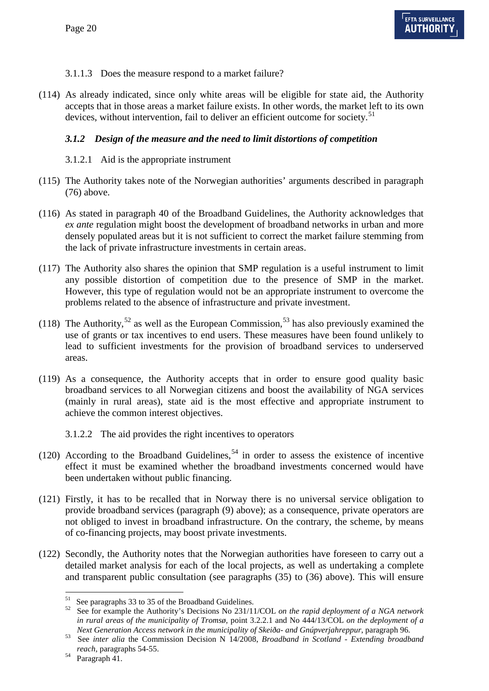### 3.1.1.3 Does the measure respond to a market failure?

(114) As already indicated, since only white areas will be eligible for state aid, the Authority accepts that in those areas a market failure exists. In other words, the market left to its own devices, without intervention, fail to deliver an efficient outcome for society.<sup>[51](#page-18-1)</sup>

### *3.1.2 Design of the measure and the need to limit distortions of competition*

- 3.1.2.1 Aid is the appropriate instrument
- (115) The Authority takes note of the Norwegian authorities' arguments described in paragraph [\(76\)](#page-12-1) above.
- (116) As stated in paragraph 40 of the Broadband Guidelines, the Authority acknowledges that *ex ante* regulation might boost the development of broadband networks in urban and more densely populated areas but it is not sufficient to correct the market failure stemming from the lack of private infrastructure investments in certain areas.
- (117) The Authority also shares the opinion that SMP regulation is a useful instrument to limit any possible distortion of competition due to the presence of SMP in the market. However, this type of regulation would not be an appropriate instrument to overcome the problems related to the absence of infrastructure and private investment.
- (118) The Authority,<sup>[52](#page-19-0)</sup> as well as the European Commission,<sup>[53](#page-19-1)</sup> has also previously examined the use of grants or tax incentives to end users. These measures have been found unlikely to lead to sufficient investments for the provision of broadband services to underserved areas.
- (119) As a consequence, the Authority accepts that in order to ensure good quality basic broadband services to all Norwegian citizens and boost the availability of NGA services (mainly in rural areas), state aid is the most effective and appropriate instrument to achieve the common interest objectives.
	- 3.1.2.2 The aid provides the right incentives to operators
- (120) According to the Broadband Guidelines,  $54$  in order to assess the existence of incentive effect it must be examined whether the broadband investments concerned would have been undertaken without public financing.
- (121) Firstly, it has to be recalled that in Norway there is no universal service obligation to provide broadband services (paragraph [\(9\)](#page-2-1) above); as a consequence, private operators are not obliged to invest in broadband infrastructure. On the contrary, the scheme, by means of co-financing projects, may boost private investments.
- (122) Secondly, the Authority notes that the Norwegian authorities have foreseen to carry out a detailed market analysis for each of the local projects, as well as undertaking a complete and transparent public consultation (see paragraphs [\(35\)](#page-6-2) to [\(36\)](#page-6-3) above). This will ensure

<span id="page-19-0"></span><sup>&</sup>lt;sup>51</sup> See paragraphs 33 to 35 of the Broadband Guidelines.<br><sup>52</sup> See for example the Authority's Decisions No 231/11/COL *on the rapid deployment of a NGA network in rural areas of the municipality of Tromsø,* point 3.2.2.1 and No 444/13/COL *on the deployment of a* 

<span id="page-19-1"></span>Next Generation Access network in the municipality of Skeiða- and Gnúpverjahreppur, paragraph 96.<br>See inter alia the Commission Decision N 14/2008, Broadband in Scotland - Extending broadband *reach,* paragraphs 54-55. 54 Paragraph 41.

<span id="page-19-2"></span>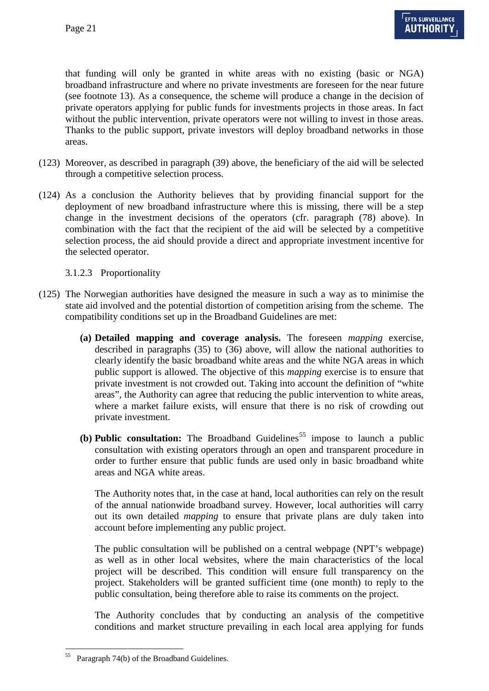that funding will only be granted in white areas with no existing (basic or NGA) broadband infrastructure and where no private investments are foreseen for the near future (see footnote 13). As a consequence, the scheme will produce a change in the decision of private operators applying for public funds for investments projects in those areas. In fact without the public intervention, private operators were not willing to invest in those areas. Thanks to the public support, private investors will deploy broadband networks in those areas.

- (123) Moreover, as described in paragraph [\(39\)](#page-6-0) above, the beneficiary of the aid will be selected through a competitive selection process.
- (124) As a conclusion the Authority believes that by providing financial support for the deployment of new broadband infrastructure where this is missing, there will be a step change in the investment decisions of the operators (cfr. paragraph [\(78\)](#page-12-2) above). In combination with the fact that the recipient of the aid will be selected by a competitive selection process, the aid should provide a direct and appropriate investment incentive for the selected operator.

### 3.1.2.3 Proportionality

- (125) The Norwegian authorities have designed the measure in such a way as to minimise the state aid involved and the potential distortion of competition arising from the scheme. The compatibility conditions set up in the Broadband Guidelines are met:
	- **(a) Detailed mapping and coverage analysis.** The foreseen *mapping* exercise, described in paragraphs [\(35\)](#page-6-2) to [\(36\)](#page-6-3) above, will allow the national authorities to clearly identify the basic broadband white areas and the white NGA areas in which public support is allowed. The objective of this *mapping* exercise is to ensure that private investment is not crowded out. Taking into account the definition of "white areas", the Authority can agree that reducing the public intervention to white areas, where a market failure exists, will ensure that there is no risk of crowding out private investment.
	- **(b) Public consultation:** The Broadband Guidelines<sup>[55](#page-19-2)</sup> impose to launch a public consultation with existing operators through an open and transparent procedure in order to further ensure that public funds are used only in basic broadband white areas and NGA white areas.

The Authority notes that, in the case at hand, local authorities can rely on the result of the annual nationwide broadband survey. However, local authorities will carry out its own detailed *mapping* to ensure that private plans are duly taken into account before implementing any public project.

The public consultation will be published on a central webpage (NPT's webpage) as well as in other local websites, where the main characteristics of the local project will be described. This condition will ensure full transparency on the project. Stakeholders will be granted sufficient time (one month) to reply to the public consultation, being therefore able to raise its comments on the project.

The Authority concludes that by conducting an analysis of the competitive conditions and market structure prevailing in each local area applying for funds

<span id="page-20-0"></span> <sup>55</sup> Paragraph 74(b) of the Broadband Guidelines.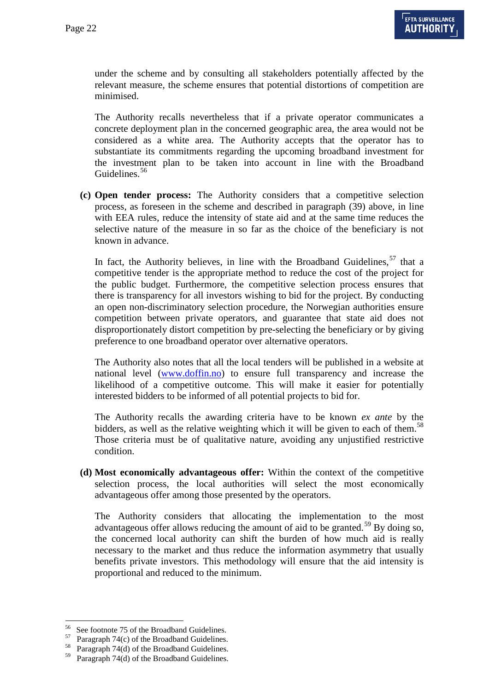under the scheme and by consulting all stakeholders potentially affected by the relevant measure, the scheme ensures that potential distortions of competition are minimised.

The Authority recalls nevertheless that if a private operator communicates a concrete deployment plan in the concerned geographic area, the area would not be considered as a white area. The Authority accepts that the operator has to substantiate its commitments regarding the upcoming broadband investment for the investment plan to be taken into account in line with the Broadband Guidelines.<sup>[56](#page-20-0)</sup>

**(c) Open tender process:** The Authority considers that a competitive selection process, as foreseen in the scheme and described in paragraph [\(39\)](#page-6-0) above, in line with EEA rules, reduce the intensity of state aid and at the same time reduces the selective nature of the measure in so far as the choice of the beneficiary is not known in advance.

In fact, the Authority believes, in line with the Broadband Guidelines,  $57$  that a competitive tender is the appropriate method to reduce the cost of the project for the public budget. Furthermore, the competitive selection process ensures that there is transparency for all investors wishing to bid for the project. By conducting an open non-discriminatory selection procedure, the Norwegian authorities ensure competition between private operators, and guarantee that state aid does not disproportionately distort competition by pre-selecting the beneficiary or by giving preference to one broadband operator over alternative operators.

The Authority also notes that all the local tenders will be published in a website at national level [\(www.doffin.no\)](http://www.doffin.no/) to ensure full transparency and increase the likelihood of a competitive outcome. This will make it easier for potentially interested bidders to be informed of all potential projects to bid for.

The Authority recalls the awarding criteria have to be known *ex ante* by the bidders, as well as the relative weighting which it will be given to each of them.<sup>[58](#page-21-1)</sup> Those criteria must be of qualitative nature, avoiding any unjustified restrictive condition.

**(d) Most economically advantageous offer:** Within the context of the competitive selection process, the local authorities will select the most economically advantageous offer among those presented by the operators.

The Authority considers that allocating the implementation to the most advantageous offer allows reducing the amount of aid to be granted.<sup>[59](#page-21-2)</sup> By doing so, the concerned local authority can shift the burden of how much aid is really necessary to the market and thus reduce the information asymmetry that usually benefits private investors. This methodology will ensure that the aid intensity is proportional and reduced to the minimum.

<span id="page-21-3"></span><span id="page-21-0"></span><sup>&</sup>lt;sup>56</sup> See footnote 75 of the Broadband Guidelines.<br><sup>57</sup> Paragraph 74(c) of the Broadband Guidelines.<br><sup>58</sup> Paragraph 74(d) of the Broadband Guidelines.

<span id="page-21-2"></span><span id="page-21-1"></span><sup>59</sup> Paragraph 74(d) of the Broadband Guidelines.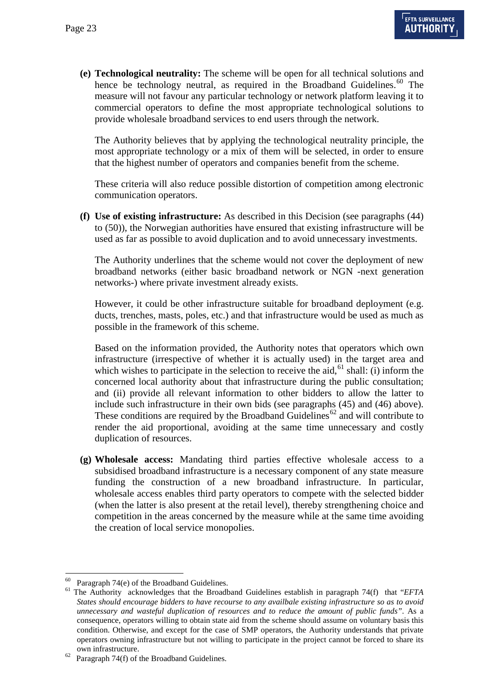**(e) Technological neutrality:** The scheme will be open for all technical solutions and hence be technology neutral, as required in the Broadband Guidelines.<sup>[60](#page-21-3)</sup> The measure will not favour any particular technology or network platform leaving it to commercial operators to define the most appropriate technological solutions to provide wholesale broadband services to end users through the network.

The Authority believes that by applying the technological neutrality principle, the most appropriate technology or a mix of them will be selected, in order to ensure that the highest number of operators and companies benefit from the scheme.

These criteria will also reduce possible distortion of competition among electronic communication operators.

**(f) Use of existing infrastructure:** As described in this Decision (see paragraphs [\(44\)](#page-7-1) to [\(50\)\)](#page-8-3), the Norwegian authorities have ensured that existing infrastructure will be used as far as possible to avoid duplication and to avoid unnecessary investments.

The Authority underlines that the scheme would not cover the deployment of new broadband networks (either basic broadband network or NGN -next generation networks-) where private investment already exists.

However, it could be other infrastructure suitable for broadband deployment (e.g. ducts, trenches, masts, poles, etc.) and that infrastructure would be used as much as possible in the framework of this scheme.

Based on the information provided, the Authority notes that operators which own infrastructure (irrespective of whether it is actually used) in the target area and which wishes to participate in the selection to receive the aid,  $61$  shall: (i) inform the concerned local authority about that infrastructure during the public consultation; and (ii) provide all relevant information to other bidders to allow the latter to include such infrastructure in their own bids (see paragraphs [\(45\)](#page-7-2) and [\(46\)](#page-7-3) above). These conditions are required by the Broadband Guidelines<sup>[62](#page-22-1)</sup> and will contribute to render the aid proportional, avoiding at the same time unnecessary and costly duplication of resources.

**(g) Wholesale access:** Mandating third parties effective wholesale access to a subsidised broadband infrastructure is a necessary component of any state measure funding the construction of a new broadband infrastructure. In particular, wholesale access enables third party operators to compete with the selected bidder (when the latter is also present at the retail level), thereby strengthening choice and competition in the areas concerned by the measure while at the same time avoiding the creation of local service monopolies.

<span id="page-22-2"></span><span id="page-22-0"></span><sup>60</sup> Paragraph 74(e) of the Broadband Guidelines. <sup>61</sup> The Authority acknowledges that the Broadband Guidelines establish in paragraph 74(f) that "*EFTA States should encourage bidders to have recourse to any availbale existing infrastructure so as to avoid unnecessary and wasteful duplication of resources and to reduce the amount of public funds"*. As a consequence, operators willing to obtain state aid from the scheme should assume on voluntary basis this condition. Otherwise, and except for the case of SMP operators, the Authority understands that private operators owning infrastructure but not willing to participate in the project cannot be forced to share its

<span id="page-22-1"></span><sup>%</sup> own infrastructure.<br><sup>62</sup> Paragraph 74(f) of the Broadband Guidelines.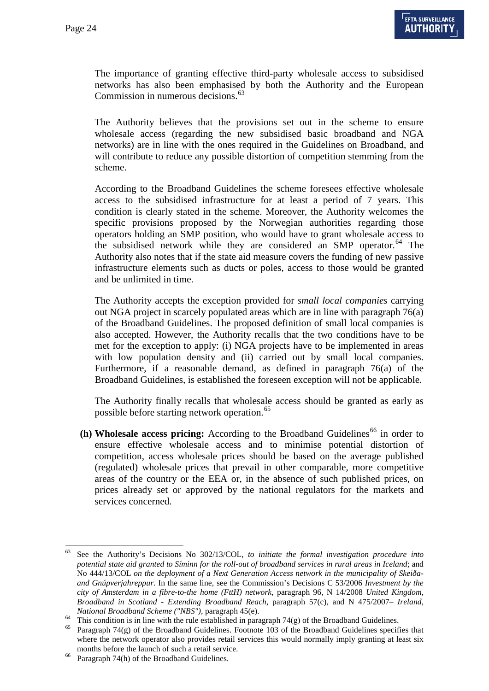The importance of granting effective third-party wholesale access to subsidised networks has also been emphasised by both the Authority and the European Commission in numerous decisions.<sup>[63](#page-22-2)</sup>

The Authority believes that the provisions set out in the scheme to ensure wholesale access (regarding the new subsidised basic broadband and NGA networks) are in line with the ones required in the Guidelines on Broadband, and will contribute to reduce any possible distortion of competition stemming from the scheme.

According to the Broadband Guidelines the scheme foresees effective wholesale access to the subsidised infrastructure for at least a period of 7 years. This condition is clearly stated in the scheme. Moreover, the Authority welcomes the specific provisions proposed by the Norwegian authorities regarding those operators holding an SMP position, who would have to grant wholesale access to the subsidised network while they are considered an SMP operator.<sup>[64](#page-23-0)</sup> The Authority also notes that if the state aid measure covers the funding of new passive infrastructure elements such as ducts or poles, access to those would be granted and be unlimited in time.

The Authority accepts the exception provided for *small local companies* carrying out NGA project in scarcely populated areas which are in line with paragraph 76(a) of the Broadband Guidelines. The proposed definition of small local companies is also accepted. However, the Authority recalls that the two conditions have to be met for the exception to apply: (i) NGA projects have to be implemented in areas with low population density and (ii) carried out by small local companies. Furthermore, if a reasonable demand, as defined in paragraph 76(a) of the Broadband Guidelines, is established the foreseen exception will not be applicable.

The Authority finally recalls that wholesale access should be granted as early as possible before starting network operation.<sup>[65](#page-23-1)</sup>

 $(h)$  **Wholesale access pricing:** According to the Broadband Guidelines<sup>[66](#page-23-2)</sup> in order to ensure effective wholesale access and to minimise potential distortion of competition, access wholesale prices should be based on the average published (regulated) wholesale prices that prevail in other comparable, more competitive areas of the country or the EEA or, in the absence of such published prices, on prices already set or approved by the national regulators for the markets and services concerned.

 <sup>63</sup> See the Authority's Decisions No 302/13/COL*, to initiate the formal investigation procedure into potential state aid granted to Síminn for the roll-out of broadband services in rural areas in Iceland*; and No 444/13/COL *on the deployment of a Next Generation Access network in the municipality of Skeiðaand Gnúpverjahreppur*. In the same line, see the Commission's Decisions C 53/2006 *Investment by the city of Amsterdam in a fibre-to-the home (FttH) network*, paragraph 96, N 14/2008 *United Kingdom, Broadband in Scotland - Extending Broadband Reach*, paragraph 57(c), and N 475/2007– *Ireland,* 

<span id="page-23-3"></span><span id="page-23-0"></span>National Broadband Scheme ("NBS"), paragraph  $45(e)$ .<br><sup>64</sup> This condition is in line with the rule established in paragraph  $74(g)$  of the Broadband Guidelines.<br><sup>65</sup> Paragraph  $74(g)$  of the Broadband Guidelines. Footnote 10

<span id="page-23-1"></span>where the network operator also provides retail services this would normally imply granting at least six

<span id="page-23-2"></span>months before the launch of such a retail service.<br><sup>66</sup> Paragraph 74(h) of the Broadband Guidelines.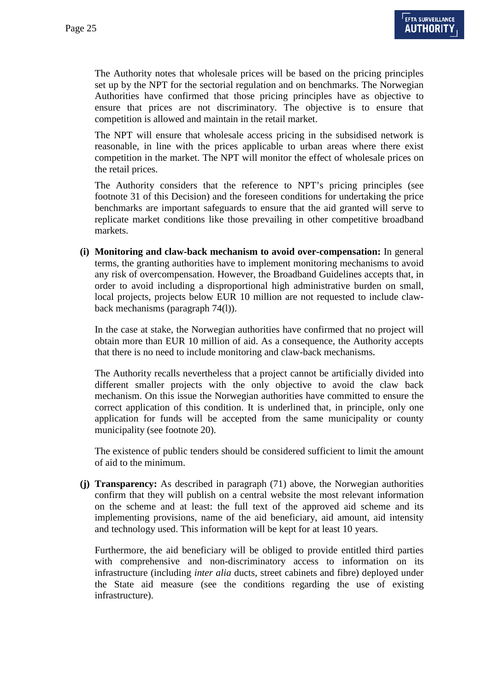The Authority notes that wholesale prices will be based on the pricing principles set up by the NPT for the sectorial regulation and on benchmarks. The Norwegian Authorities have confirmed that those pricing principles have as objective to ensure that prices are not discriminatory. The objective is to ensure that competition is allowed and maintain in the retail market.

The NPT will ensure that wholesale access pricing in the subsidised network is reasonable, in line with the prices applicable to urban areas where there exist competition in the market. The NPT will monitor the effect of wholesale prices on the retail prices.

The Authority considers that the reference to NPT's pricing principles (see footnote 31 of this Decision) and the foreseen conditions for undertaking the price benchmarks are important safeguards to ensure that the aid granted will serve to replicate market conditions like those prevailing in other competitive broadband markets.

**(i) Monitoring and claw-back mechanism to avoid over-compensation:** In general terms, the granting authorities have to implement monitoring mechanisms to avoid any risk of overcompensation. However, the Broadband Guidelines accepts that, in order to avoid including a disproportional high administrative burden on small, local projects, projects below EUR 10 million are not requested to include clawback mechanisms (paragraph 74(l)).

In the case at stake, the Norwegian authorities have confirmed that no project will obtain more than EUR 10 million of aid. As a consequence, the Authority accepts that there is no need to include monitoring and claw-back mechanisms.

The Authority recalls nevertheless that a project cannot be artificially divided into different smaller projects with the only objective to avoid the claw back mechanism. On this issue the Norwegian authorities have committed to ensure the correct application of this condition. It is underlined that, in principle, only one application for funds will be accepted from the same municipality or county municipality (see footnote 20).

The existence of public tenders should be considered sufficient to limit the amount of aid to the minimum.

**(j) Transparency:** As described in paragraph [\(71\)](#page-12-3) above, the Norwegian authorities confirm that they will publish on a central website the most relevant information on the scheme and at least: the full text of the approved aid scheme and its implementing provisions, name of the aid beneficiary, aid amount, aid intensity and technology used. This information will be kept for at least 10 years.

Furthermore, the aid beneficiary will be obliged to provide entitled third parties with comprehensive and non-discriminatory access to information on its infrastructure (including *inter alia* ducts, street cabinets and fibre) deployed under the State aid measure (see the conditions regarding the use of existing infrastructure).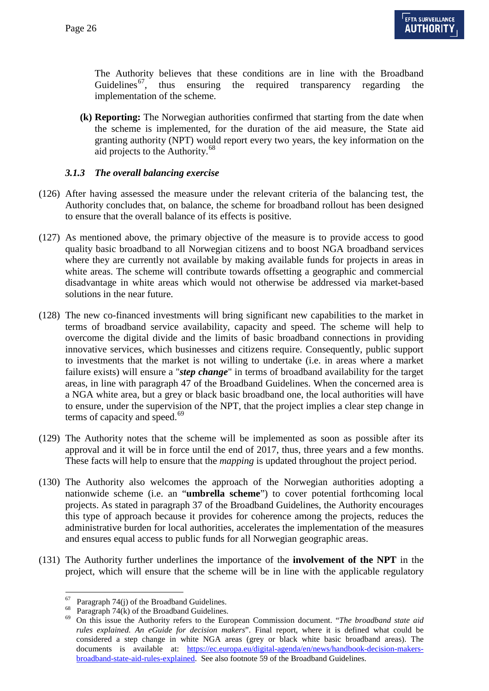The Authority believes that these conditions are in line with the Broadband Guidelines<sup>[67](#page-23-3)</sup>, thus ensuring the required transparency regarding the implementation of the scheme.

**(k) Reporting:** The Norwegian authorities confirmed that starting from the date when the scheme is implemented, for the duration of the aid measure, the State aid granting authority (NPT) would report every two years, the key information on the aid projects to the Authority.<sup>[68](#page-25-0)</sup>

### *3.1.3 The overall balancing exercise*

- (126) After having assessed the measure under the relevant criteria of the balancing test, the Authority concludes that, on balance, the scheme for broadband rollout has been designed to ensure that the overall balance of its effects is positive.
- (127) As mentioned above, the primary objective of the measure is to provide access to good quality basic broadband to all Norwegian citizens and to boost NGA broadband services where they are currently not available by making available funds for projects in areas in white areas. The scheme will contribute towards offsetting a geographic and commercial disadvantage in white areas which would not otherwise be addressed via market-based solutions in the near future.
- (128) The new co-financed investments will bring significant new capabilities to the market in terms of broadband service availability, capacity and speed. The scheme will help to overcome the digital divide and the limits of basic broadband connections in providing innovative services, which businesses and citizens require. Consequently, public support to investments that the market is not willing to undertake (i.e. in areas where a market failure exists) will ensure a "*step change*" in terms of broadband availability for the target areas, in line with paragraph 47 of the Broadband Guidelines. When the concerned area is a NGA white area, but a grey or black basic broadband one, the local authorities will have to ensure, under the supervision of the NPT, that the project implies a clear step change in terms of capacity and speed.<sup>[69](#page-25-1)</sup>
- (129) The Authority notes that the scheme will be implemented as soon as possible after its approval and it will be in force until the end of 2017, thus, three years and a few months. These facts will help to ensure that the *mapping* is updated throughout the project period.
- (130) The Authority also welcomes the approach of the Norwegian authorities adopting a nationwide scheme (i.e. an "**umbrella scheme**") to cover potential forthcoming local projects. As stated in paragraph 37 of the Broadband Guidelines, the Authority encourages this type of approach because it provides for coherence among the projects, reduces the administrative burden for local authorities, accelerates the implementation of the measures and ensures equal access to public funds for all Norwegian geographic areas.
- <span id="page-25-0"></span>(131) The Authority further underlines the importance of the **involvement of the NPT** in the project, which will ensure that the scheme will be in line with the applicable regulatory

<span id="page-25-2"></span><span id="page-25-1"></span>

<sup>67</sup> Paragraph 74(j) of the Broadband Guidelines. <sup>68</sup> Paragraph 74(k) of the Broadband Guidelines. <sup>69</sup> On this issue the Authority refers to the European Commission document. "*The broadband state aid rules explained. An eGuide for decision makers*". Final report, where it is defined what could be considered a step change in white NGA areas (grey or black white basic broadband areas). The documents is available at: [https://ec.europa.eu/digital-agenda/en/news/handbook-decision-makers](https://ec.europa.eu/digital-agenda/en/news/handbook-decision-makers-broadband-state-aid-rules-explained)[broadband-state-aid-rules-explained.](https://ec.europa.eu/digital-agenda/en/news/handbook-decision-makers-broadband-state-aid-rules-explained) See also footnote 59 of the Broadband Guidelines.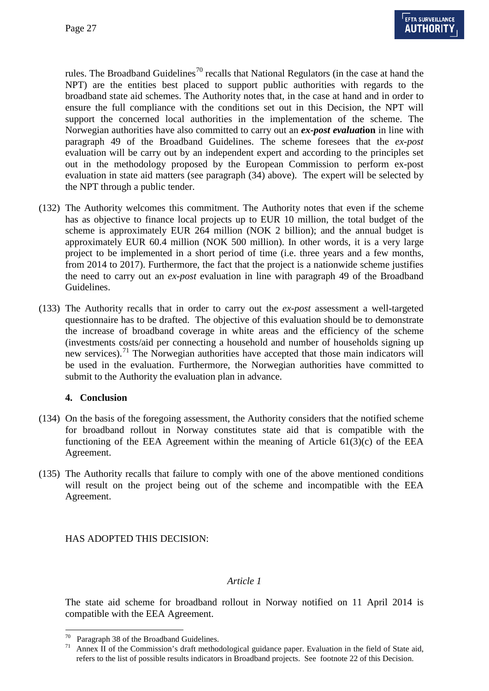rules. The Broadband Guidelines<sup>[70](#page-25-2)</sup> recalls that National Regulators (in the case at hand the NPT) are the entities best placed to support public authorities with regards to the broadband state aid schemes. The Authority notes that, in the case at hand and in order to ensure the full compliance with the conditions set out in this Decision, the NPT will support the concerned local authorities in the implementation of the scheme. The Norwegian authorities have also committed to carry out an *ex-post evaluat***ion** in line with paragraph 49 of the Broadband Guidelines. The scheme foresees that the *ex-post* evaluation will be carry out by an independent expert and according to the principles set out in the methodology proposed by the European Commission to perform ex-post evaluation in state aid matters (see paragraph [\(34\)](#page-5-5) above). The expert will be selected by the NPT through a public tender.

- (132) The Authority welcomes this commitment. The Authority notes that even if the scheme has as objective to finance local projects up to EUR 10 million, the total budget of the scheme is approximately EUR 264 million (NOK 2 billion); and the annual budget is approximately EUR 60.4 million (NOK 500 million). In other words, it is a very large project to be implemented in a short period of time (i.e. three years and a few months, from 2014 to 2017). Furthermore, the fact that the project is a nationwide scheme justifies the need to carry out an *ex-post* evaluation in line with paragraph 49 of the Broadband Guidelines.
- (133) The Authority recalls that in order to carry out the *ex-post* assessment a well-targeted questionnaire has to be drafted. The objective of this evaluation should be to demonstrate the increase of broadband coverage in white areas and the efficiency of the scheme (investments costs/aid per connecting a household and number of households signing up new services).<sup>[71](#page-26-0)</sup> The Norwegian authorities have accepted that those main indicators will be used in the evaluation. Furthermore, the Norwegian authorities have committed to submit to the Authority the evaluation plan in advance.

#### **4. Conclusion**

- (134) On the basis of the foregoing assessment, the Authority considers that the notified scheme for broadband rollout in Norway constitutes state aid that is compatible with the functioning of the EEA Agreement within the meaning of Article  $61(3)(c)$  of the EEA Agreement.
- (135) The Authority recalls that failure to comply with one of the above mentioned conditions will result on the project being out of the scheme and incompatible with the EEA Agreement.

HAS ADOPTED THIS DECISION:

### *Article 1*

The state aid scheme for broadband rollout in Norway notified on 11 April 2014 is compatible with the EEA Agreement.

<span id="page-26-0"></span><sup>&</sup>lt;sup>70</sup> Paragraph 38 of the Broadband Guidelines.<br><sup>71</sup> Annex II of the Commission's draft methodological guidance paper. Evaluation in the field of State aid, refers to the list of possible results indicators in Broadband projects. See footnote 22 of this Decision.